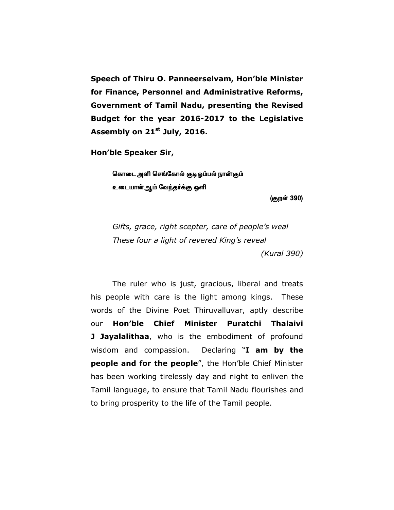**Speech of Thiru O. Panneerselvam, Hon'ble Minister for Finance, Personnel and Administrative Reforms, Government of Tamil Nadu, presenting the Revised Budget for the year 2016-2017 to the Legislative Assembly on 21st July, 2016.** 

**Hon'ble Speaker Sir,** 

கொடை அளி செங்கோல் குடிஒம்பல் நான்கும் **உடையான்ஆம் வேந்தர்க்கு ஒளி** 

(குறள் 390)

*Gifts, grace, right scepter, care of people's weal These four a light of revered King's reveal (Kural 390)*

 The ruler who is just, gracious, liberal and treats his people with care is the light among kings. These words of the Divine Poet Thiruvalluvar, aptly describe our **Hon'ble Chief Minister Puratchi Thalaivi J Jayalalithaa**, who is the embodiment of profound wisdom and compassion. Declaring "**I am by the people and for the people**", the Hon'ble Chief Minister has been working tirelessly day and night to enliven the Tamil language, to ensure that Tamil Nadu flourishes and to bring prosperity to the life of the Tamil people.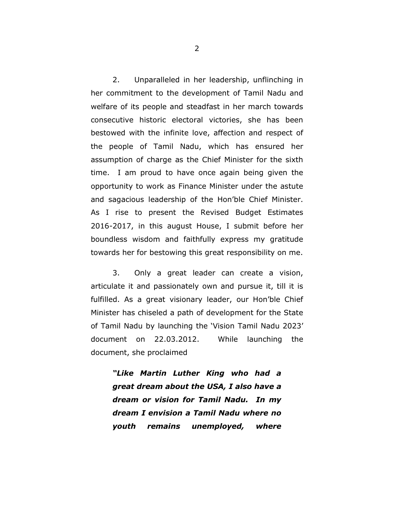2. Unparalleled in her leadership, unflinching in her commitment to the development of Tamil Nadu and welfare of its people and steadfast in her march towards consecutive historic electoral victories, she has been bestowed with the infinite love, affection and respect of the people of Tamil Nadu, which has ensured her assumption of charge as the Chief Minister for the sixth time. I am proud to have once again being given the opportunity to work as Finance Minister under the astute and sagacious leadership of the Hon'ble Chief Minister. As I rise to present the Revised Budget Estimates 2016-2017, in this august House, I submit before her boundless wisdom and faithfully express my gratitude towards her for bestowing this great responsibility on me.

3. Only a great leader can create a vision, articulate it and passionately own and pursue it, till it is fulfilled. As a great visionary leader, our Hon'ble Chief Minister has chiseled a path of development for the State of Tamil Nadu by launching the 'Vision Tamil Nadu 2023' document on 22.03.2012. While launching the document, she proclaimed

*"Like Martin Luther King who had a great dream about the USA, I also have a dream or vision for Tamil Nadu. In my dream I envision a Tamil Nadu where no youth remains unemployed, where*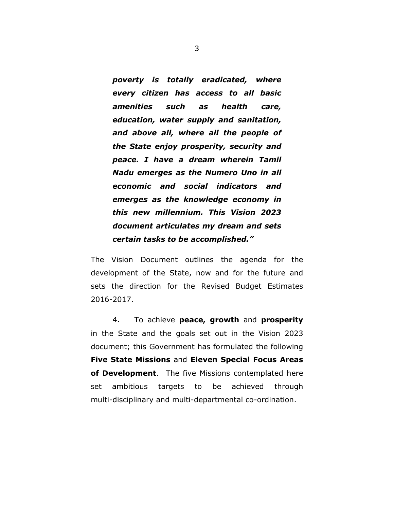*poverty is totally eradicated, where every citizen has access to all basic amenities such as health care, education, water supply and sanitation, and above all, where all the people of the State enjoy prosperity, security and peace. I have a dream wherein Tamil Nadu emerges as the Numero Uno in all economic and social indicators and emerges as the knowledge economy in this new millennium. This Vision 2023 document articulates my dream and sets certain tasks to be accomplished."* 

The Vision Document outlines the agenda for the development of the State, now and for the future and sets the direction for the Revised Budget Estimates 2016-2017.

4. To achieve **peace, growth** and **prosperity** in the State and the goals set out in the Vision 2023 document; this Government has formulated the following **Five State Missions** and **Eleven Special Focus Areas of Development**. The five Missions contemplated here set ambitious targets to be achieved through multi-disciplinary and multi-departmental co-ordination.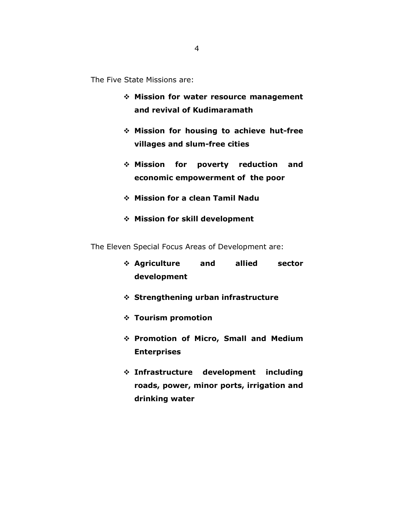The Five State Missions are:

- **Mission for water resource management and revival of Kudimaramath**
- **Mission for housing to achieve hut-free villages and slum-free cities**
- **Mission for poverty reduction and economic empowerment of the poor**
- **Mission for a clean Tamil Nadu**
- **Mission for skill development**

The Eleven Special Focus Areas of Development are:

- **Agriculture and allied sector development**
- **Strengthening urban infrastructure**
- **Tourism promotion**
- **Promotion of Micro, Small and Medium Enterprises**
- **Infrastructure development including roads, power, minor ports, irrigation and drinking water**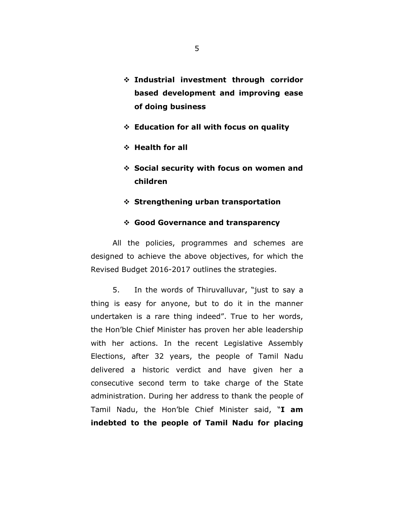- **Industrial investment through corridor based development and improving ease of doing business**
- **Education for all with focus on quality**
- **Health for all**
- **Social security with focus on women and children**
- **Strengthening urban transportation**

### **Good Governance and transparency**

 All the policies, programmes and schemes are designed to achieve the above objectives, for which the Revised Budget 2016-2017 outlines the strategies.

5. In the words of Thiruvalluvar, "just to say a thing is easy for anyone, but to do it in the manner undertaken is a rare thing indeed". True to her words, the Hon'ble Chief Minister has proven her able leadership with her actions. In the recent Legislative Assembly Elections, after 32 years, the people of Tamil Nadu delivered a historic verdict and have given her a consecutive second term to take charge of the State administration. During her address to thank the people of Tamil Nadu, the Hon'ble Chief Minister said, "**I am indebted to the people of Tamil Nadu for placing**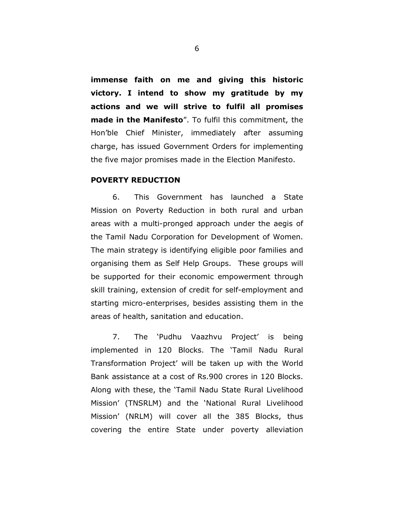**immense faith on me and giving this historic victory. I intend to show my gratitude by my actions and we will strive to fulfil all promises made in the Manifesto**". To fulfil this commitment, the Hon'ble Chief Minister, immediately after assuming charge, has issued Government Orders for implementing the five major promises made in the Election Manifesto.

## **POVERTY REDUCTION**

6. This Government has launched a State Mission on Poverty Reduction in both rural and urban areas with a multi-pronged approach under the aegis of the Tamil Nadu Corporation for Development of Women. The main strategy is identifying eligible poor families and organising them as Self Help Groups. These groups will be supported for their economic empowerment through skill training, extension of credit for self-employment and starting micro-enterprises, besides assisting them in the areas of health, sanitation and education.

7. The 'Pudhu Vaazhvu Project' is being implemented in 120 Blocks. The 'Tamil Nadu Rural Transformation Project' will be taken up with the World Bank assistance at a cost of Rs.900 crores in 120 Blocks. Along with these, the 'Tamil Nadu State Rural Livelihood Mission' (TNSRLM) and the 'National Rural Livelihood Mission' (NRLM) will cover all the 385 Blocks, thus covering the entire State under poverty alleviation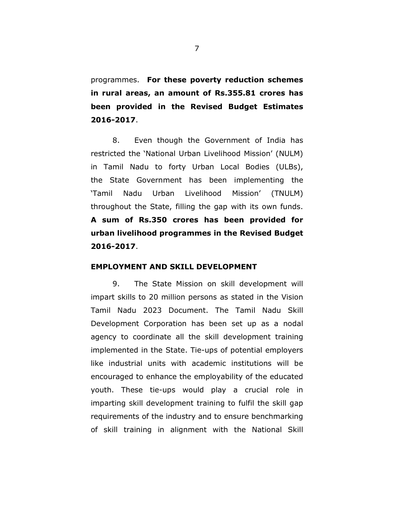programmes. **For these poverty reduction schemes in rural areas, an amount of Rs.355.81 crores has been provided in the Revised Budget Estimates 2016-2017**.

8. Even though the Government of India has restricted the 'National Urban Livelihood Mission' (NULM) in Tamil Nadu to forty Urban Local Bodies (ULBs), the State Government has been implementing the 'Tamil Nadu Urban Livelihood Mission' (TNULM) throughout the State, filling the gap with its own funds. **A sum of Rs.350 crores has been provided for urban livelihood programmes in the Revised Budget 2016-2017**.

### **EMPLOYMENT AND SKILL DEVELOPMENT**

9. The State Mission on skill development will impart skills to 20 million persons as stated in the Vision Tamil Nadu 2023 Document. The Tamil Nadu Skill Development Corporation has been set up as a nodal agency to coordinate all the skill development training implemented in the State. Tie-ups of potential employers like industrial units with academic institutions will be encouraged to enhance the employability of the educated youth. These tie-ups would play a crucial role in imparting skill development training to fulfil the skill gap requirements of the industry and to ensure benchmarking of skill training in alignment with the National Skill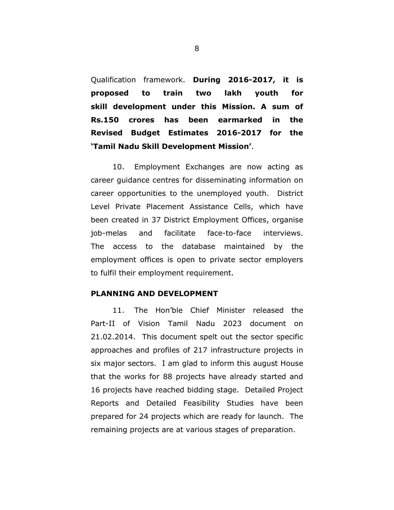Qualification framework. **During 2016-2017, it is proposed to train two lakh youth for skill development under this Mission. A sum of Rs.150 crores has been earmarked in the Revised Budget Estimates 2016-2017 for the 'Tamil Nadu Skill Development Mission'**.

10. Employment Exchanges are now acting as career guidance centres for disseminating information on career opportunities to the unemployed youth. District Level Private Placement Assistance Cells, which have been created in 37 District Employment Offices, organise job-melas and facilitate face-to-face interviews. The access to the database maintained by the employment offices is open to private sector employers to fulfil their employment requirement.

### **PLANNING AND DEVELOPMENT**

11. The Hon'ble Chief Minister released the Part-II of Vision Tamil Nadu 2023 document on 21.02.2014. This document spelt out the sector specific approaches and profiles of 217 infrastructure projects in six major sectors. I am glad to inform this august House that the works for 88 projects have already started and 16 projects have reached bidding stage. Detailed Project Reports and Detailed Feasibility Studies have been prepared for 24 projects which are ready for launch. The remaining projects are at various stages of preparation.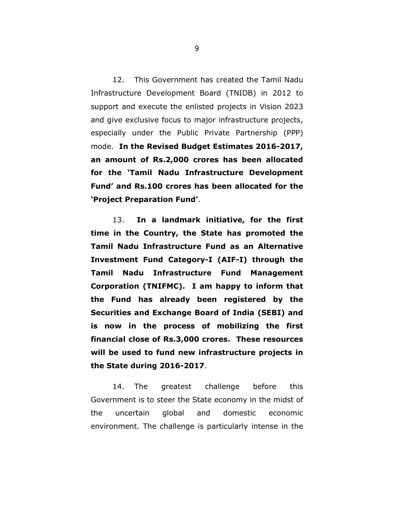12. This Government has created the Tamil Nadu Infrastructure Development Board (TNIDB) in 2012 to support and execute the enlisted projects in Vision 2023 and give exclusive focus to major infrastructure projects, especially under the Public Private Partnership (PPP) mode. **In the Revised Budget Estimates 2016-2017, an amount of Rs.2,000 crores has been allocated for the 'Tamil Nadu Infrastructure Development Fund' and Rs.100 crores has been allocated for the 'Project Preparation Fund'**.

13. **In a landmark initiative, for the first time in the Country, the State has promoted the Tamil Nadu Infrastructure Fund as an Alternative Investment Fund Category-I (AIF-I) through the Tamil Nadu Infrastructure Fund Management Corporation (TNIFMC). I am happy to inform that the Fund has already been registered by the Securities and Exchange Board of India (SEBI) and is now in the process of mobilizing the first financial close of Rs.3,000 crores. These resources will be used to fund new infrastructure projects in the State during 2016-2017**.

14. The greatest challenge before this Government is to steer the State economy in the midst of the uncertain global and domestic economic environment. The challenge is particularly intense in the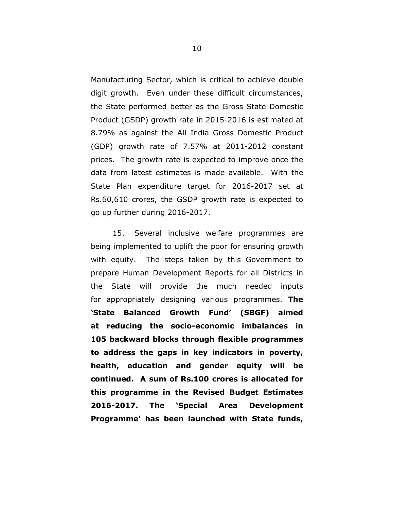Manufacturing Sector, which is critical to achieve double digit growth. Even under these difficult circumstances, the State performed better as the Gross State Domestic Product (GSDP) growth rate in 2015-2016 is estimated at 8.79% as against the All India Gross Domestic Product (GDP) growth rate of 7.57% at 2011-2012 constant prices. The growth rate is expected to improve once the data from latest estimates is made available. With the State Plan expenditure target for 2016-2017 set at Rs.60,610 crores, the GSDP growth rate is expected to go up further during 2016-2017.

15. Several inclusive welfare programmes are being implemented to uplift the poor for ensuring growth with equity. The steps taken by this Government to prepare Human Development Reports for all Districts in the State will provide the much needed inputs for appropriately designing various programmes. **The 'State Balanced Growth Fund' (SBGF) aimed at reducing the socio-economic imbalances in 105 backward blocks through flexible programmes to address the gaps in key indicators in poverty, health, education and gender equity will be continued. A sum of Rs.100 crores is allocated for this programme in the Revised Budget Estimates 2016-2017. The 'Special Area Development Programme' has been launched with State funds,**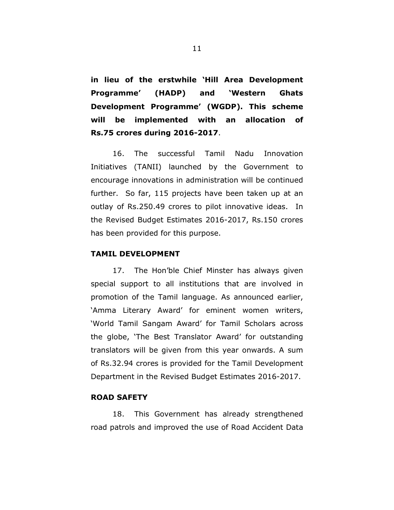**in lieu of the erstwhile 'Hill Area Development Programme' (HADP) and 'Western Ghats Development Programme' (WGDP). This scheme will be implemented with an allocation of Rs.75 crores during 2016-2017**.

16. The successful Tamil Nadu Innovation Initiatives (TANII) launched by the Government to encourage innovations in administration will be continued further. So far, 115 projects have been taken up at an outlay of Rs.250.49 crores to pilot innovative ideas. In the Revised Budget Estimates 2016-2017, Rs.150 crores has been provided for this purpose.

#### **TAMIL DEVELOPMENT**

17. The Hon'ble Chief Minster has always given special support to all institutions that are involved in promotion of the Tamil language. As announced earlier, 'Amma Literary Award' for eminent women writers, 'World Tamil Sangam Award' for Tamil Scholars across the globe, 'The Best Translator Award' for outstanding translators will be given from this year onwards. A sum of Rs.32.94 crores is provided for the Tamil Development Department in the Revised Budget Estimates 2016-2017.

# **ROAD SAFETY**

18. This Government has already strengthened road patrols and improved the use of Road Accident Data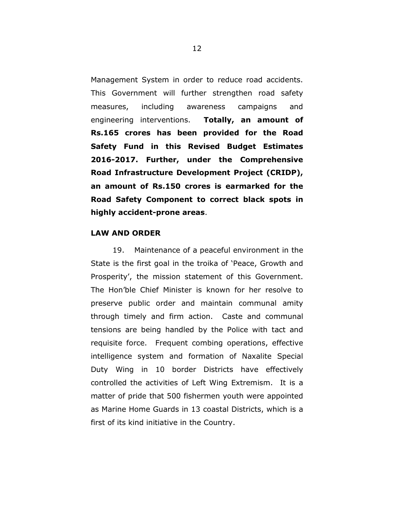Management System in order to reduce road accidents. This Government will further strengthen road safety measures, including awareness campaigns and engineering interventions. **Totally, an amount of Rs.165 crores has been provided for the Road Safety Fund in this Revised Budget Estimates 2016-2017. Further, under the Comprehensive Road Infrastructure Development Project (CRIDP), an amount of Rs.150 crores is earmarked for the Road Safety Component to correct black spots in highly accident-prone areas**.

# **LAW AND ORDER**

19. Maintenance of a peaceful environment in the State is the first goal in the troika of 'Peace, Growth and Prosperity', the mission statement of this Government. The Hon'ble Chief Minister is known for her resolve to preserve public order and maintain communal amity through timely and firm action. Caste and communal tensions are being handled by the Police with tact and requisite force. Frequent combing operations, effective intelligence system and formation of Naxalite Special Duty Wing in 10 border Districts have effectively controlled the activities of Left Wing Extremism. It is a matter of pride that 500 fishermen youth were appointed as Marine Home Guards in 13 coastal Districts, which is a first of its kind initiative in the Country.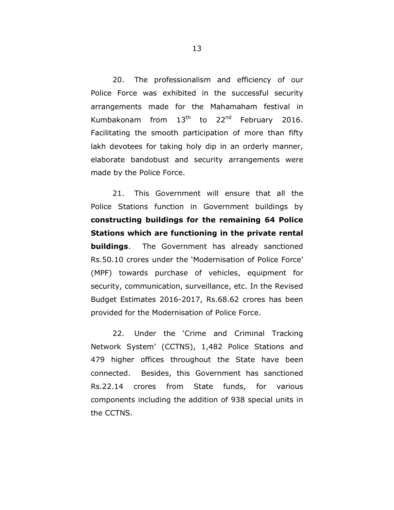20. The professionalism and efficiency of our Police Force was exhibited in the successful security arrangements made for the Mahamaham festival in Kumbakonam from  $13<sup>th</sup>$  to  $22<sup>nd</sup>$  February 2016. Facilitating the smooth participation of more than fifty lakh devotees for taking holy dip in an orderly manner, elaborate bandobust and security arrangements were made by the Police Force.

21. This Government will ensure that all the Police Stations function in Government buildings by **constructing buildings for the remaining 64 Police Stations which are functioning in the private rental buildings**. The Government has already sanctioned Rs.50.10 crores under the 'Modernisation of Police Force' (MPF) towards purchase of vehicles, equipment for security, communication, surveillance, etc. In the Revised Budget Estimates 2016-2017, Rs.68.62 crores has been provided for the Modernisation of Police Force.

22. Under the 'Crime and Criminal Tracking Network System' (CCTNS), 1,482 Police Stations and 479 higher offices throughout the State have been connected. Besides, this Government has sanctioned Rs.22.14 crores from State funds, for various components including the addition of 938 special units in the CCTNS.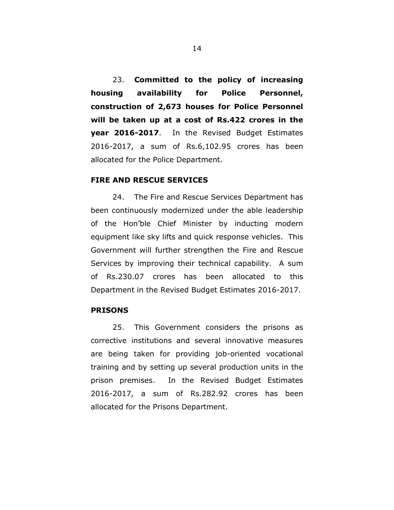23. **Committed to the policy of increasing housing availability for Police Personnel, construction of 2,673 houses for Police Personnel will be taken up at a cost of Rs.422 crores in the year 2016-2017**. In the Revised Budget Estimates 2016-2017, a sum of Rs.6,102.95 crores has been allocated for the Police Department.

# **FIRE AND RESCUE SERVICES**

24. The Fire and Rescue Services Department has been continuously modernized under the able leadership of the Hon'ble Chief Minister by inducting modern equipment like sky lifts and quick response vehicles. This Government will further strengthen the Fire and Rescue Services by improving their technical capability. A sum of Rs.230.07 crores has been allocated to this Department in the Revised Budget Estimates 2016-2017.

## **PRISONS**

25. This Government considers the prisons as corrective institutions and several innovative measures are being taken for providing job-oriented vocational training and by setting up several production units in the prison premises. In the Revised Budget Estimates 2016-2017, a sum of Rs.282.92 crores has been allocated for the Prisons Department.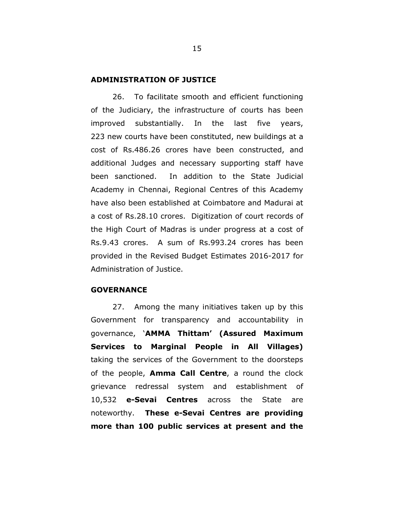#### **ADMINISTRATION OF JUSTICE**

26. To facilitate smooth and efficient functioning of the Judiciary, the infrastructure of courts has been improved substantially. In the last five years, 223 new courts have been constituted, new buildings at a cost of Rs.486.26 crores have been constructed, and additional Judges and necessary supporting staff have been sanctioned. In addition to the State Judicial Academy in Chennai, Regional Centres of this Academy have also been established at Coimbatore and Madurai at a cost of Rs.28.10 crores. Digitization of court records of the High Court of Madras is under progress at a cost of Rs.9.43 crores. A sum of Rs.993.24 crores has been provided in the Revised Budget Estimates 2016-2017 for Administration of Justice.

#### **GOVERNANCE**

27. Among the many initiatives taken up by this Government for transparency and accountability in governance, '**AMMA Thittam' (Assured Maximum Services to Marginal People in All Villages)** taking the services of the Government to the doorsteps of the people, **Amma Call Centre**, a round the clock grievance redressal system and establishment of 10,532 **e-Sevai Centres** across the State are noteworthy. **These e-Sevai Centres are providing more than 100 public services at present and the**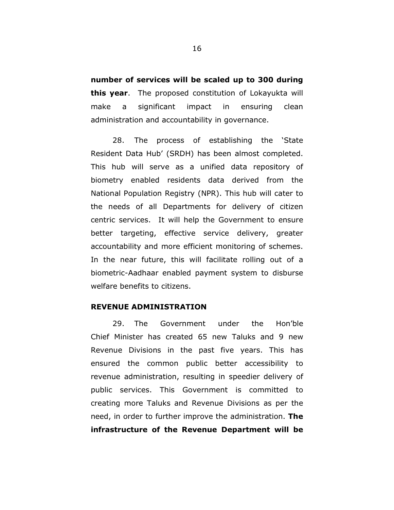**number of services will be scaled up to 300 during this year**. The proposed constitution of Lokayukta will make a significant impact in ensuring clean administration and accountability in governance.

28. The process of establishing the 'State Resident Data Hub' (SRDH) has been almost completed. This hub will serve as a unified data repository of biometry enabled residents data derived from the National Population Registry (NPR). This hub will cater to the needs of all Departments for delivery of citizen centric services. It will help the Government to ensure better targeting, effective service delivery, greater accountability and more efficient monitoring of schemes. In the near future, this will facilitate rolling out of a biometric-Aadhaar enabled payment system to disburse welfare benefits to citizens.

#### **REVENUE ADMINISTRATION**

29. The Government under the Hon'ble Chief Minister has created 65 new Taluks and 9 new Revenue Divisions in the past five years. This has ensured the common public better accessibility to revenue administration, resulting in speedier delivery of public services. This Government is committed to creating more Taluks and Revenue Divisions as per the need, in order to further improve the administration. **The infrastructure of the Revenue Department will be**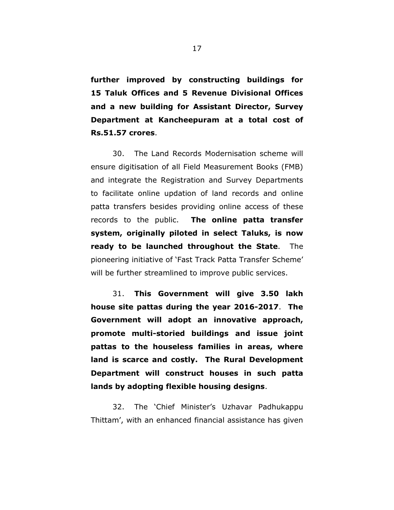**further improved by constructing buildings for 15 Taluk Offices and 5 Revenue Divisional Offices and a new building for Assistant Director, Survey Department at Kancheepuram at a total cost of Rs.51.57 crores**.

30. The Land Records Modernisation scheme will ensure digitisation of all Field Measurement Books (FMB) and integrate the Registration and Survey Departments to facilitate online updation of land records and online patta transfers besides providing online access of these records to the public. **The online patta transfer system, originally piloted in select Taluks, is now ready to be launched throughout the State**. The pioneering initiative of 'Fast Track Patta Transfer Scheme' will be further streamlined to improve public services.

31. **This Government will give 3.50 lakh house site pattas during the year 2016-2017**. **The Government will adopt an innovative approach, promote multi-storied buildings and issue joint pattas to the houseless families in areas, where land is scarce and costly. The Rural Development Department will construct houses in such patta lands by adopting flexible housing designs**.

32. The 'Chief Minister's Uzhavar Padhukappu Thittam', with an enhanced financial assistance has given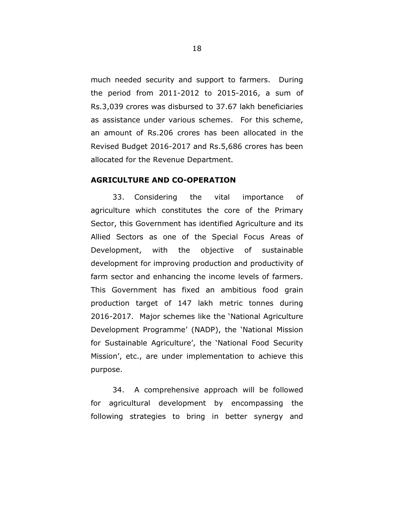much needed security and support to farmers. During the period from 2011-2012 to 2015-2016, a sum of Rs.3,039 crores was disbursed to 37.67 lakh beneficiaries as assistance under various schemes. For this scheme, an amount of Rs.206 crores has been allocated in the Revised Budget 2016-2017 and Rs.5,686 crores has been allocated for the Revenue Department.

# **AGRICULTURE AND CO-OPERATION**

33. Considering the vital importance of agriculture which constitutes the core of the Primary Sector, this Government has identified Agriculture and its Allied Sectors as one of the Special Focus Areas of Development, with the objective of sustainable development for improving production and productivity of farm sector and enhancing the income levels of farmers. This Government has fixed an ambitious food grain production target of 147 lakh metric tonnes during 2016-2017. Major schemes like the 'National Agriculture Development Programme' (NADP), the 'National Mission for Sustainable Agriculture', the 'National Food Security Mission', etc., are under implementation to achieve this purpose.

34. A comprehensive approach will be followed for agricultural development by encompassing the following strategies to bring in better synergy and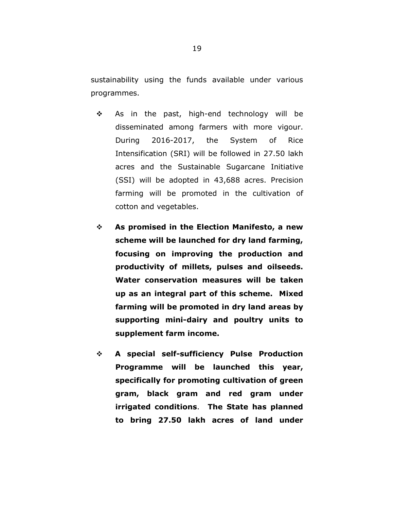sustainability using the funds available under various programmes.

- $\div$  As in the past, high-end technology will be disseminated among farmers with more vigour. During 2016-2017, the System of Rice Intensification (SRI) will be followed in 27.50 lakh acres and the Sustainable Sugarcane Initiative (SSI) will be adopted in 43,688 acres. Precision farming will be promoted in the cultivation of cotton and vegetables.
- **As promised in the Election Manifesto, a new scheme will be launched for dry land farming, focusing on improving the production and productivity of millets, pulses and oilseeds. Water conservation measures will be taken up as an integral part of this scheme. Mixed farming will be promoted in dry land areas by supporting mini-dairy and poultry units to supplement farm income.**
- **A special self-sufficiency Pulse Production Programme will be launched this year, specifically for promoting cultivation of green gram, black gram and red gram under irrigated conditions**. **The State has planned to bring 27.50 lakh acres of land under**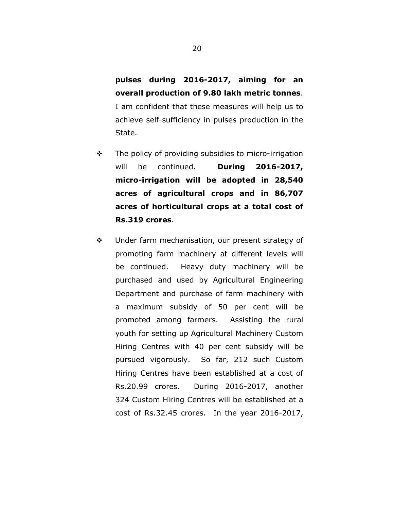**pulses during 2016-2017, aiming for an overall production of 9.80 lakh metric tonnes**. I am confident that these measures will help us to achieve self-sufficiency in pulses production in the State.

- $\div$  The policy of providing subsidies to micro-irrigation will be continued. **During 2016-2017, micro-irrigation will be adopted in 28,540 acres of agricultural crops and in 86,707 acres of horticultural crops at a total cost of Rs.319 crores**.
- Under farm mechanisation, our present strategy of promoting farm machinery at different levels will be continued. Heavy duty machinery will be purchased and used by Agricultural Engineering Department and purchase of farm machinery with a maximum subsidy of 50 per cent will be promoted among farmers. Assisting the rural youth for setting up Agricultural Machinery Custom Hiring Centres with 40 per cent subsidy will be pursued vigorously. So far, 212 such Custom Hiring Centres have been established at a cost of Rs.20.99 crores. During 2016-2017, another 324 Custom Hiring Centres will be established at a cost of Rs.32.45 crores. In the year 2016-2017,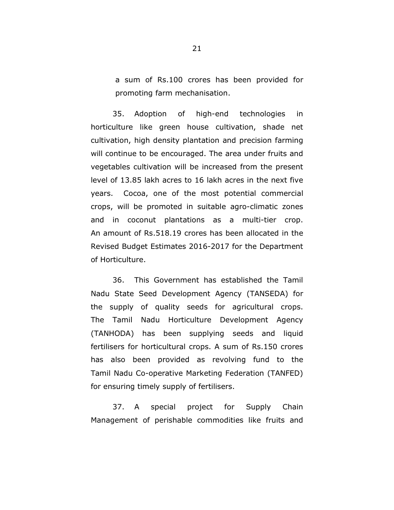a sum of Rs.100 crores has been provided for promoting farm mechanisation.

35. Adoption of high-end technologies in horticulture like green house cultivation, shade net cultivation, high density plantation and precision farming will continue to be encouraged. The area under fruits and vegetables cultivation will be increased from the present level of 13.85 lakh acres to 16 lakh acres in the next five years. Cocoa, one of the most potential commercial crops, will be promoted in suitable agro-climatic zones and in coconut plantations as a multi-tier crop. An amount of Rs.518.19 crores has been allocated in the Revised Budget Estimates 2016-2017 for the Department of Horticulture.

36. This Government has established the Tamil Nadu State Seed Development Agency (TANSEDA) for the supply of quality seeds for agricultural crops. The Tamil Nadu Horticulture Development Agency (TANHODA) has been supplying seeds and liquid fertilisers for horticultural crops. A sum of Rs.150 crores has also been provided as revolving fund to the Tamil Nadu Co-operative Marketing Federation (TANFED) for ensuring timely supply of fertilisers.

37. A special project for Supply Chain Management of perishable commodities like fruits and

21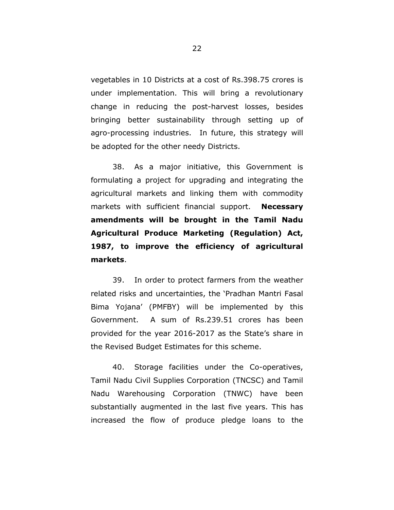vegetables in 10 Districts at a cost of Rs.398.75 crores is under implementation. This will bring a revolutionary change in reducing the post-harvest losses, besides bringing better sustainability through setting up of agro-processing industries. In future, this strategy will be adopted for the other needy Districts.

38. As a major initiative, this Government is formulating a project for upgrading and integrating the agricultural markets and linking them with commodity markets with sufficient financial support. **Necessary amendments will be brought in the Tamil Nadu Agricultural Produce Marketing (Regulation) Act, 1987, to improve the efficiency of agricultural markets**.

39. In order to protect farmers from the weather related risks and uncertainties, the 'Pradhan Mantri Fasal Bima Yojana' (PMFBY) will be implemented by this Government. A sum of Rs.239.51 crores has been provided for the year 2016-2017 as the State's share in the Revised Budget Estimates for this scheme.

40. Storage facilities under the Co-operatives, Tamil Nadu Civil Supplies Corporation (TNCSC) and Tamil Nadu Warehousing Corporation (TNWC) have been substantially augmented in the last five years. This has increased the flow of produce pledge loans to the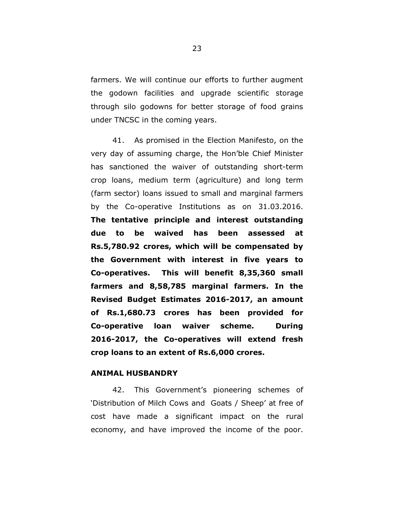farmers. We will continue our efforts to further augment the godown facilities and upgrade scientific storage through silo godowns for better storage of food grains under TNCSC in the coming years.

41. As promised in the Election Manifesto, on the very day of assuming charge, the Hon'ble Chief Minister has sanctioned the waiver of outstanding short-term crop loans, medium term (agriculture) and long term (farm sector) loans issued to small and marginal farmers by the Co-operative Institutions as on 31.03.2016. **The tentative principle and interest outstanding due to be waived has been assessed at Rs.5,780.92 crores, which will be compensated by the Government with interest in five years to Co-operatives. This will benefit 8,35,360 small farmers and 8,58,785 marginal farmers. In the Revised Budget Estimates 2016-2017, an amount of Rs.1,680.73 crores has been provided for Co-operative loan waiver scheme. During 2016-2017, the Co-operatives will extend fresh crop loans to an extent of Rs.6,000 crores.**

## **ANIMAL HUSBANDRY**

42. This Government's pioneering schemes of 'Distribution of Milch Cows and Goats / Sheep' at free of cost have made a significant impact on the rural economy, and have improved the income of the poor.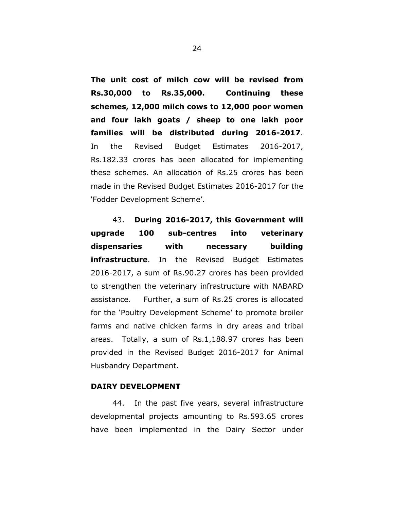**The unit cost of milch cow will be revised from Rs.30,000 to Rs.35,000. Continuing these schemes, 12,000 milch cows to 12,000 poor women and four lakh goats / sheep to one lakh poor families will be distributed during 2016-2017**. In the Revised Budget Estimates 2016-2017, Rs.182.33 crores has been allocated for implementing these schemes. An allocation of Rs.25 crores has been made in the Revised Budget Estimates 2016-2017 for the 'Fodder Development Scheme'.

43. **During 2016-2017, this Government will upgrade 100 sub-centres into veterinary dispensaries with necessary building infrastructure**. In the Revised Budget Estimates 2016-2017, a sum of Rs.90.27 crores has been provided to strengthen the veterinary infrastructure with NABARD assistance. Further, a sum of Rs.25 crores is allocated for the 'Poultry Development Scheme' to promote broiler farms and native chicken farms in dry areas and tribal areas. Totally, a sum of Rs.1,188.97 crores has been provided in the Revised Budget 2016-2017 for Animal Husbandry Department.

# **DAIRY DEVELOPMENT**

44. In the past five years, several infrastructure developmental projects amounting to Rs.593.65 crores have been implemented in the Dairy Sector under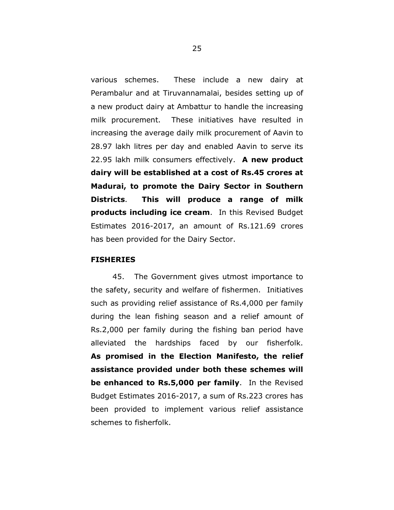various schemes. These include a new dairy at Perambalur and at Tiruvannamalai, besides setting up of a new product dairy at Ambattur to handle the increasing milk procurement. These initiatives have resulted in increasing the average daily milk procurement of Aavin to 28.97 lakh litres per day and enabled Aavin to serve its 22.95 lakh milk consumers effectively. **A new product dairy will be established at a cost of Rs.45 crores at Madurai, to promote the Dairy Sector in Southern Districts**. **This will produce a range of milk products including ice cream**. In this Revised Budget Estimates 2016-2017, an amount of Rs.121.69 crores has been provided for the Dairy Sector.

### **FISHERIES**

45. The Government gives utmost importance to the safety, security and welfare of fishermen. Initiatives such as providing relief assistance of Rs.4,000 per family during the lean fishing season and a relief amount of Rs.2,000 per family during the fishing ban period have alleviated the hardships faced by our fisherfolk. **As promised in the Election Manifesto, the relief assistance provided under both these schemes will be enhanced to Rs.5,000 per family**. In the Revised Budget Estimates 2016-2017, a sum of Rs.223 crores has been provided to implement various relief assistance schemes to fisherfolk.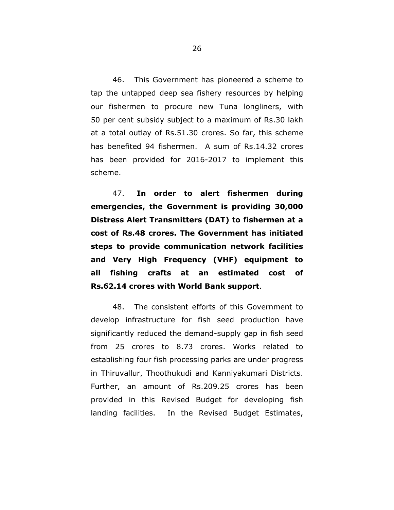46. This Government has pioneered a scheme to tap the untapped deep sea fishery resources by helping our fishermen to procure new Tuna longliners, with 50 per cent subsidy subject to a maximum of Rs.30 lakh at a total outlay of Rs.51.30 crores. So far, this scheme has benefited 94 fishermen. A sum of Rs.14.32 crores has been provided for 2016-2017 to implement this scheme.

47. **In order to alert fishermen during emergencies, the Government is providing 30,000 Distress Alert Transmitters (DAT) to fishermen at a cost of Rs.48 crores. The Government has initiated steps to provide communication network facilities and Very High Frequency (VHF) equipment to all fishing crafts at an estimated cost of Rs.62.14 crores with World Bank support**.

48. The consistent efforts of this Government to develop infrastructure for fish seed production have significantly reduced the demand-supply gap in fish seed from 25 crores to 8.73 crores. Works related to establishing four fish processing parks are under progress in Thiruvallur, Thoothukudi and Kanniyakumari Districts. Further, an amount of Rs.209.25 crores has been provided in this Revised Budget for developing fish landing facilities. In the Revised Budget Estimates,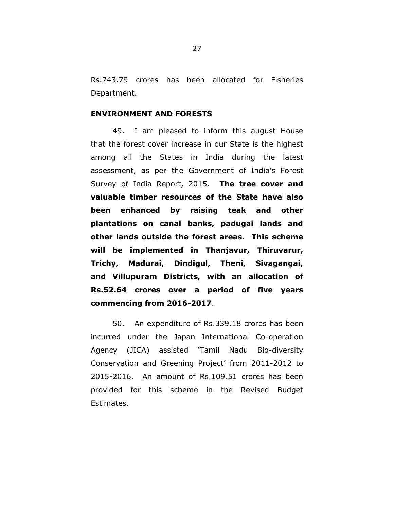Rs.743.79 crores has been allocated for Fisheries Department.

### **ENVIRONMENT AND FORESTS**

49. I am pleased to inform this august House that the forest cover increase in our State is the highest among all the States in India during the latest assessment, as per the Government of India's Forest Survey of India Report, 2015. **The tree cover and valuable timber resources of the State have also been enhanced by raising teak and other plantations on canal banks, padugai lands and other lands outside the forest areas. This scheme will be implemented in Thanjavur, Thiruvarur, Trichy, Madurai, Dindigul, Theni, Sivagangai, and Villupuram Districts, with an allocation of Rs.52.64 crores over a period of five years commencing from 2016-2017**.

50. An expenditure of Rs.339.18 crores has been incurred under the Japan International Co-operation Agency (JICA) assisted 'Tamil Nadu Bio-diversity Conservation and Greening Project' from 2011-2012 to 2015-2016. An amount of Rs.109.51 crores has been provided for this scheme in the Revised Budget Estimates.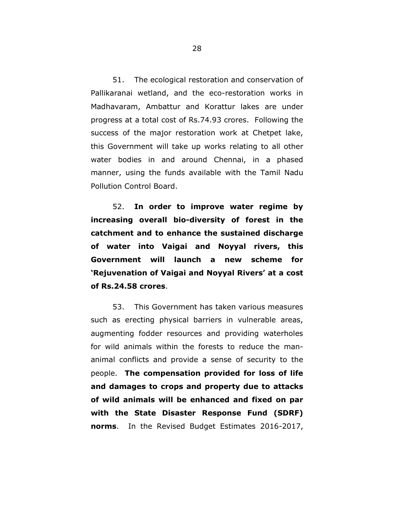51. The ecological restoration and conservation of Pallikaranai wetland, and the eco-restoration works in Madhavaram, Ambattur and Korattur lakes are under progress at a total cost of Rs.74.93 crores. Following the success of the major restoration work at Chetpet lake, this Government will take up works relating to all other water bodies in and around Chennai, in a phased manner, using the funds available with the Tamil Nadu Pollution Control Board.

52. **In order to improve water regime by increasing overall bio-diversity of forest in the catchment and to enhance the sustained discharge of water into Vaigai and Noyyal rivers, this Government will launch a new scheme for 'Rejuvenation of Vaigai and Noyyal Rivers' at a cost of Rs.24.58 crores**.

53. This Government has taken various measures such as erecting physical barriers in vulnerable areas, augmenting fodder resources and providing waterholes for wild animals within the forests to reduce the mananimal conflicts and provide a sense of security to the people. **The compensation provided for loss of life and damages to crops and property due to attacks of wild animals will be enhanced and fixed on par with the State Disaster Response Fund (SDRF) norms**. In the Revised Budget Estimates 2016-2017,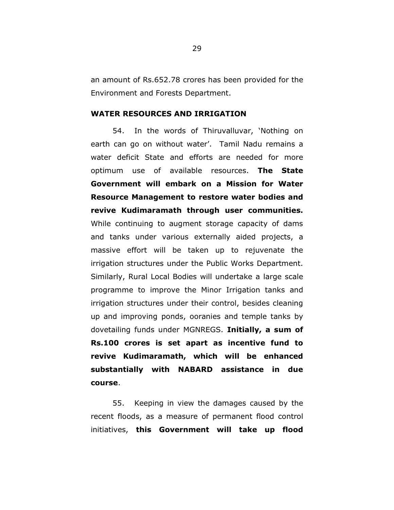an amount of Rs.652.78 crores has been provided for the Environment and Forests Department.

# **WATER RESOURCES AND IRRIGATION**

54. In the words of Thiruvalluvar, 'Nothing on earth can go on without water'. Tamil Nadu remains a water deficit State and efforts are needed for more optimum use of available resources. **The State Government will embark on a Mission for Water Resource Management to restore water bodies and revive Kudimaramath through user communities.**  While continuing to augment storage capacity of dams and tanks under various externally aided projects, a massive effort will be taken up to rejuvenate the irrigation structures under the Public Works Department. Similarly, Rural Local Bodies will undertake a large scale programme to improve the Minor Irrigation tanks and irrigation structures under their control, besides cleaning up and improving ponds, ooranies and temple tanks by dovetailing funds under MGNREGS. **Initially, a sum of Rs.100 crores is set apart as incentive fund to revive Kudimaramath, which will be enhanced substantially with NABARD assistance in due course**.

55. Keeping in view the damages caused by the recent floods, as a measure of permanent flood control initiatives, **this Government will take up flood**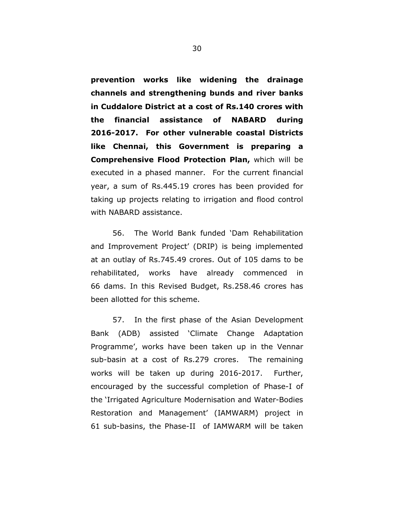**prevention works like widening the drainage channels and strengthening bunds and river banks in Cuddalore District at a cost of Rs.140 crores with the financial assistance of NABARD during 2016-2017. For other vulnerable coastal Districts like Chennai, this Government is preparing a Comprehensive Flood Protection Plan,** which will be executed in a phased manner. For the current financial year, a sum of Rs.445.19 crores has been provided for taking up projects relating to irrigation and flood control with NABARD assistance.

56. The World Bank funded 'Dam Rehabilitation and Improvement Project' (DRIP) is being implemented at an outlay of Rs.745.49 crores. Out of 105 dams to be rehabilitated, works have already commenced in 66 dams. In this Revised Budget, Rs.258.46 crores has been allotted for this scheme.

57. In the first phase of the Asian Development Bank (ADB) assisted 'Climate Change Adaptation Programme', works have been taken up in the Vennar sub-basin at a cost of Rs.279 crores. The remaining works will be taken up during 2016-2017. Further, encouraged by the successful completion of Phase-I of the 'Irrigated Agriculture Modernisation and Water-Bodies Restoration and Management' (IAMWARM) project in 61 sub-basins, the Phase-II of IAMWARM will be taken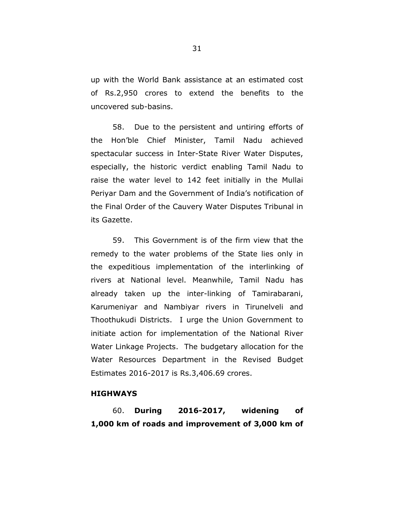up with the World Bank assistance at an estimated cost of Rs.2,950 crores to extend the benefits to the uncovered sub-basins.

58. Due to the persistent and untiring efforts of the Hon'ble Chief Minister, Tamil Nadu achieved spectacular success in Inter-State River Water Disputes, especially, the historic verdict enabling Tamil Nadu to raise the water level to 142 feet initially in the Mullai Periyar Dam and the Government of India's notification of the Final Order of the Cauvery Water Disputes Tribunal in its Gazette.

59. This Government is of the firm view that the remedy to the water problems of the State lies only in the expeditious implementation of the interlinking of rivers at National level. Meanwhile, Tamil Nadu has already taken up the inter-linking of Tamirabarani, Karumeniyar and Nambiyar rivers in Tirunelveli and Thoothukudi Districts. I urge the Union Government to initiate action for implementation of the National River Water Linkage Projects. The budgetary allocation for the Water Resources Department in the Revised Budget Estimates 2016-2017 is Rs.3,406.69 crores.

## **HIGHWAYS**

60. **During 2016-2017, widening of 1,000 km of roads and improvement of 3,000 km of**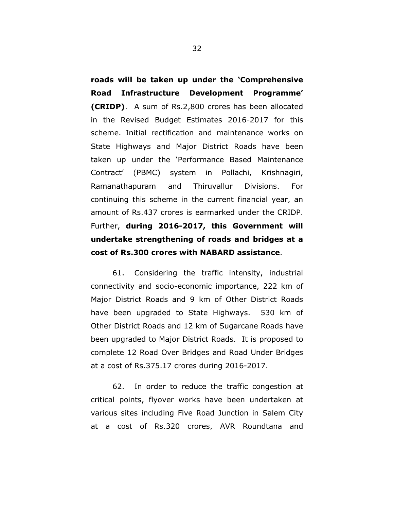**roads will be taken up under the 'Comprehensive Road Infrastructure Development Programme' (CRIDP)**. A sum of Rs.2,800 crores has been allocated in the Revised Budget Estimates 2016-2017 for this scheme. Initial rectification and maintenance works on State Highways and Major District Roads have been taken up under the 'Performance Based Maintenance Contract' (PBMC) system in Pollachi, Krishnagiri, Ramanathapuram and Thiruvallur Divisions. For continuing this scheme in the current financial year, an amount of Rs.437 crores is earmarked under the CRIDP. Further, **during 2016-2017, this Government will undertake strengthening of roads and bridges at a cost of Rs.300 crores with NABARD assistance**.

61. Considering the traffic intensity, industrial connectivity and socio-economic importance, 222 km of Major District Roads and 9 km of Other District Roads have been upgraded to State Highways. 530 km of Other District Roads and 12 km of Sugarcane Roads have been upgraded to Major District Roads. It is proposed to complete 12 Road Over Bridges and Road Under Bridges at a cost of Rs.375.17 crores during 2016-2017.

62. In order to reduce the traffic congestion at critical points, flyover works have been undertaken at various sites including Five Road Junction in Salem City at a cost of Rs.320 crores, AVR Roundtana and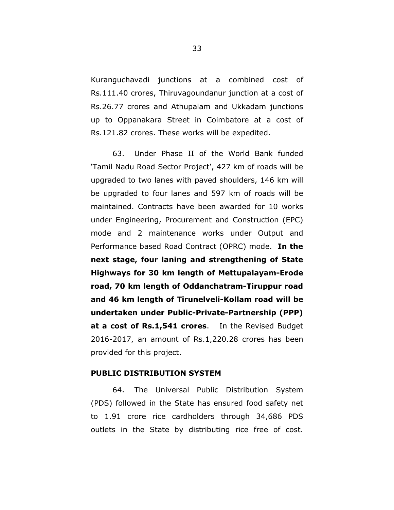Kuranguchavadi junctions at a combined cost of Rs.111.40 crores, Thiruvagoundanur junction at a cost of Rs.26.77 crores and Athupalam and Ukkadam junctions up to Oppanakara Street in Coimbatore at a cost of Rs.121.82 crores. These works will be expedited.

63. Under Phase II of the World Bank funded 'Tamil Nadu Road Sector Project', 427 km of roads will be upgraded to two lanes with paved shoulders, 146 km will be upgraded to four lanes and 597 km of roads will be maintained. Contracts have been awarded for 10 works under Engineering, Procurement and Construction (EPC) mode and 2 maintenance works under Output and Performance based Road Contract (OPRC) mode. **In the next stage, four laning and strengthening of State Highways for 30 km length of Mettupalayam-Erode road, 70 km length of Oddanchatram-Tiruppur road and 46 km length of Tirunelveli-Kollam road will be undertaken under Public-Private-Partnership (PPP) at a cost of Rs.1,541 crores**. In the Revised Budget 2016-2017, an amount of Rs.1,220.28 crores has been provided for this project.

## **PUBLIC DISTRIBUTION SYSTEM**

64. The Universal Public Distribution System (PDS) followed in the State has ensured food safety net to 1.91 crore rice cardholders through 34,686 PDS outlets in the State by distributing rice free of cost.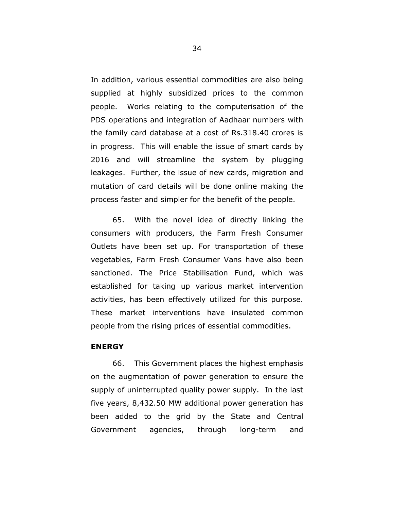In addition, various essential commodities are also being supplied at highly subsidized prices to the common people. Works relating to the computerisation of the PDS operations and integration of Aadhaar numbers with the family card database at a cost of Rs.318.40 crores is in progress. This will enable the issue of smart cards by 2016 and will streamline the system by plugging leakages. Further, the issue of new cards, migration and mutation of card details will be done online making the process faster and simpler for the benefit of the people.

65. With the novel idea of directly linking the consumers with producers, the Farm Fresh Consumer Outlets have been set up. For transportation of these vegetables, Farm Fresh Consumer Vans have also been sanctioned. The Price Stabilisation Fund, which was established for taking up various market intervention activities, has been effectively utilized for this purpose. These market interventions have insulated common people from the rising prices of essential commodities.

### **ENERGY**

66. This Government places the highest emphasis on the augmentation of power generation to ensure the supply of uninterrupted quality power supply. In the last five years, 8,432.50 MW additional power generation has been added to the grid by the State and Central Government agencies, through long-term and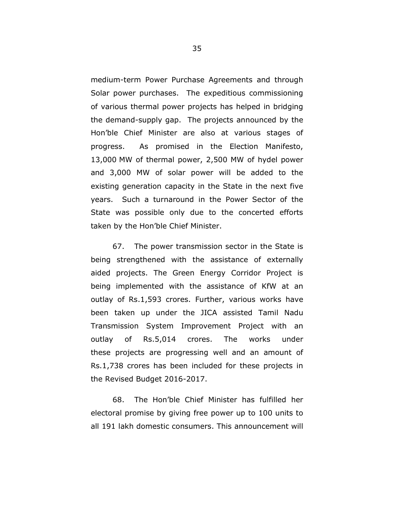medium-term Power Purchase Agreements and through Solar power purchases. The expeditious commissioning of various thermal power projects has helped in bridging the demand-supply gap. The projects announced by the Hon'ble Chief Minister are also at various stages of progress. As promised in the Election Manifesto, 13,000 MW of thermal power, 2,500 MW of hydel power and 3,000 MW of solar power will be added to the existing generation capacity in the State in the next five years. Such a turnaround in the Power Sector of the State was possible only due to the concerted efforts taken by the Hon'ble Chief Minister.

67. The power transmission sector in the State is being strengthened with the assistance of externally aided projects. The Green Energy Corridor Project is being implemented with the assistance of KfW at an outlay of Rs.1,593 crores. Further, various works have been taken up under the JICA assisted Tamil Nadu Transmission System Improvement Project with an outlay of Rs.5,014 crores. The works under these projects are progressing well and an amount of Rs.1,738 crores has been included for these projects in the Revised Budget 2016-2017.

68. The Hon'ble Chief Minister has fulfilled her electoral promise by giving free power up to 100 units to all 191 lakh domestic consumers. This announcement will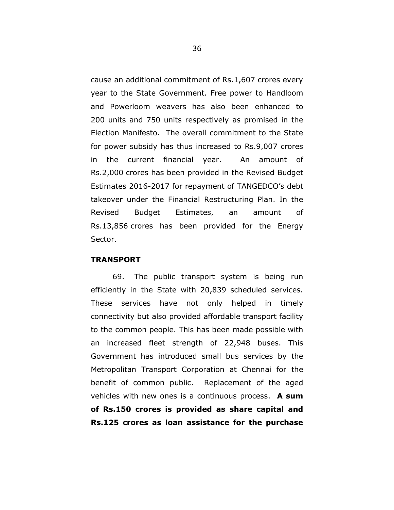cause an additional commitment of Rs.1,607 crores every year to the State Government. Free power to Handloom and Powerloom weavers has also been enhanced to 200 units and 750 units respectively as promised in the Election Manifesto. The overall commitment to the State for power subsidy has thus increased to Rs.9,007 crores in the current financial year. An amount of Rs.2,000 crores has been provided in the Revised Budget Estimates 2016-2017 for repayment of TANGEDCO's debt takeover under the Financial Restructuring Plan. In the Revised Budget Estimates, an amount of Rs.13,856 crores has been provided for the Energy Sector.

## **TRANSPORT**

69. The public transport system is being run efficiently in the State with 20,839 scheduled services. These services have not only helped in timely connectivity but also provided affordable transport facility to the common people. This has been made possible with an increased fleet strength of 22,948 buses. This Government has introduced small bus services by the Metropolitan Transport Corporation at Chennai for the benefit of common public. Replacement of the aged vehicles with new ones is a continuous process. **A sum of Rs.150 crores is provided as share capital and Rs.125 crores as loan assistance for the purchase**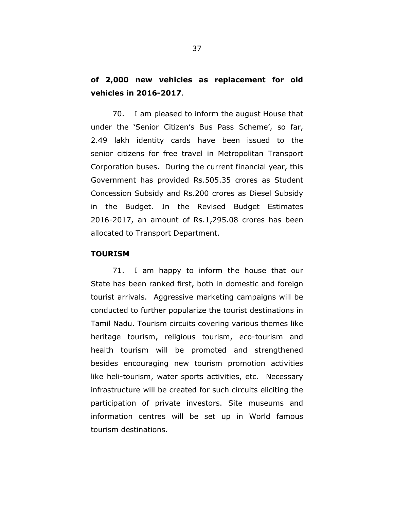# **of 2,000 new vehicles as replacement for old vehicles in 2016-2017**.

70. I am pleased to inform the august House that under the 'Senior Citizen's Bus Pass Scheme', so far, 2.49 lakh identity cards have been issued to the senior citizens for free travel in Metropolitan Transport Corporation buses. During the current financial year, this Government has provided Rs.505.35 crores as Student Concession Subsidy and Rs.200 crores as Diesel Subsidy in the Budget. In the Revised Budget Estimates 2016-2017, an amount of Rs.1,295.08 crores has been allocated to Transport Department.

#### **TOURISM**

71. I am happy to inform the house that our State has been ranked first, both in domestic and foreign tourist arrivals. Aggressive marketing campaigns will be conducted to further popularize the tourist destinations in Tamil Nadu. Tourism circuits covering various themes like heritage tourism, religious tourism, eco-tourism and health tourism will be promoted and strengthened besides encouraging new tourism promotion activities like heli-tourism, water sports activities, etc. Necessary infrastructure will be created for such circuits eliciting the participation of private investors. Site museums and information centres will be set up in World famous tourism destinations.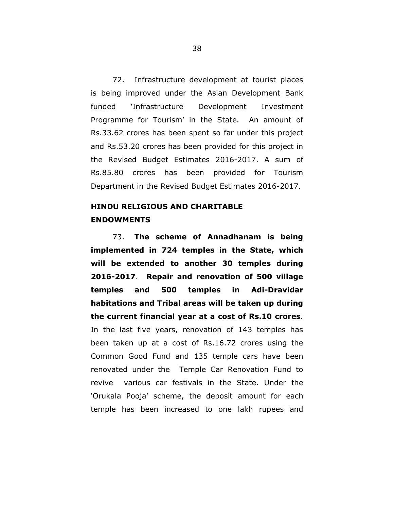72. Infrastructure development at tourist places is being improved under the Asian Development Bank funded 'Infrastructure Development Investment Programme for Tourism' in the State. An amount of Rs.33.62 crores has been spent so far under this project and Rs.53.20 crores has been provided for this project in the Revised Budget Estimates 2016-2017. A sum of Rs.85.80 crores has been provided for Tourism Department in the Revised Budget Estimates 2016-2017.

# **HINDU RELIGIOUS AND CHARITABLE ENDOWMENTS**

73. **The scheme of Annadhanam is being implemented in 724 temples in the State, which will be extended to another 30 temples during 2016-2017**. **Repair and renovation of 500 village temples and 500 temples in Adi-Dravidar habitations and Tribal areas will be taken up during the current financial year at a cost of Rs.10 crores**. In the last five years, renovation of 143 temples has been taken up at a cost of Rs.16.72 crores using the Common Good Fund and 135 temple cars have been renovated under the Temple Car Renovation Fund to revive various car festivals in the State. Under the 'Orukala Pooja' scheme, the deposit amount for each temple has been increased to one lakh rupees and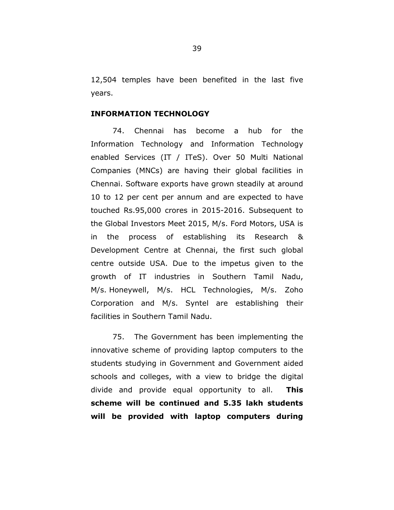12,504 temples have been benefited in the last five years.

## **INFORMATION TECHNOLOGY**

74. Chennai has become a hub for the Information Technology and Information Technology enabled Services (IT / ITeS). Over 50 Multi National Companies (MNCs) are having their global facilities in Chennai. Software exports have grown steadily at around 10 to 12 per cent per annum and are expected to have touched Rs.95,000 crores in 2015-2016. Subsequent to the Global Investors Meet 2015, M/s. Ford Motors, USA is in the process of establishing its Research & Development Centre at Chennai, the first such global centre outside USA. Due to the impetus given to the growth of IT industries in Southern Tamil Nadu, M/s. Honeywell, M/s. HCL Technologies, M/s. Zoho Corporation and M/s. Syntel are establishing their facilities in Southern Tamil Nadu.

75. The Government has been implementing the innovative scheme of providing laptop computers to the students studying in Government and Government aided schools and colleges, with a view to bridge the digital divide and provide equal opportunity to all. **This scheme will be continued and 5.35 lakh students will be provided with laptop computers during**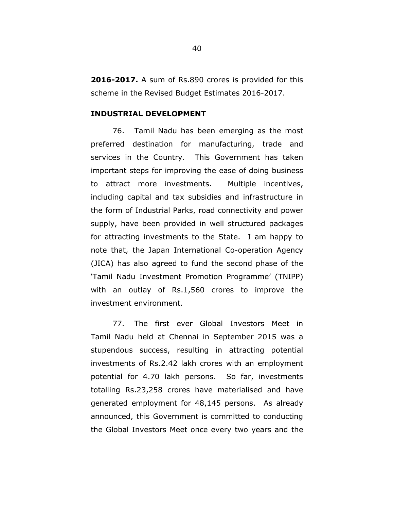**2016-2017.** A sum of Rs.890 crores is provided for this scheme in the Revised Budget Estimates 2016-2017.

#### **INDUSTRIAL DEVELOPMENT**

76. Tamil Nadu has been emerging as the most preferred destination for manufacturing, trade and services in the Country. This Government has taken important steps for improving the ease of doing business to attract more investments. Multiple incentives, including capital and tax subsidies and infrastructure in the form of Industrial Parks, road connectivity and power supply, have been provided in well structured packages for attracting investments to the State. I am happy to note that, the Japan International Co-operation Agency (JICA) has also agreed to fund the second phase of the 'Tamil Nadu Investment Promotion Programme' (TNIPP) with an outlay of Rs.1,560 crores to improve the investment environment.

77. The first ever Global Investors Meet in Tamil Nadu held at Chennai in September 2015 was a stupendous success, resulting in attracting potential investments of Rs.2.42 lakh crores with an employment potential for 4.70 lakh persons. So far, investments totalling Rs.23,258 crores have materialised and have generated employment for 48,145 persons. As already announced, this Government is committed to conducting the Global Investors Meet once every two years and the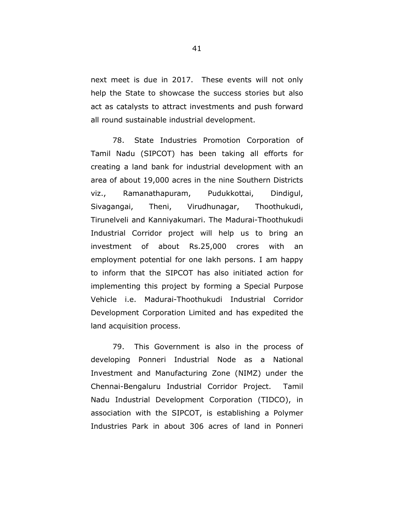next meet is due in 2017. These events will not only help the State to showcase the success stories but also act as catalysts to attract investments and push forward all round sustainable industrial development.

78. State Industries Promotion Corporation of Tamil Nadu (SIPCOT) has been taking all efforts for creating a land bank for industrial development with an area of about 19,000 acres in the nine Southern Districts viz., Ramanathapuram, Pudukkottai, Dindigul, Sivagangai, Theni, Virudhunagar, Thoothukudi, Tirunelveli and Kanniyakumari. The Madurai-Thoothukudi Industrial Corridor project will help us to bring an investment of about Rs.25,000 crores with an employment potential for one lakh persons. I am happy to inform that the SIPCOT has also initiated action for implementing this project by forming a Special Purpose Vehicle i.e. Madurai-Thoothukudi Industrial Corridor Development Corporation Limited and has expedited the land acquisition process.

79. This Government is also in the process of developing Ponneri Industrial Node as a National Investment and Manufacturing Zone (NIMZ) under the Chennai-Bengaluru Industrial Corridor Project. Tamil Nadu Industrial Development Corporation (TIDCO), in association with the SIPCOT, is establishing a Polymer Industries Park in about 306 acres of land in Ponneri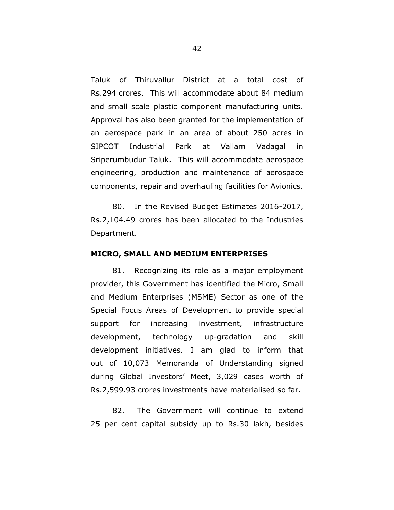Taluk of Thiruvallur District at a total cost of Rs.294 crores. This will accommodate about 84 medium and small scale plastic component manufacturing units. Approval has also been granted for the implementation of an aerospace park in an area of about 250 acres in SIPCOT Industrial Park at Vallam Vadagal in Sriperumbudur Taluk. This will accommodate aerospace engineering, production and maintenance of aerospace components, repair and overhauling facilities for Avionics.

80. In the Revised Budget Estimates 2016-2017, Rs.2,104.49 crores has been allocated to the Industries Department.

#### **MICRO, SMALL AND MEDIUM ENTERPRISES**

81. Recognizing its role as a major employment provider, this Government has identified the Micro, Small and Medium Enterprises (MSME) Sector as one of the Special Focus Areas of Development to provide special support for increasing investment, infrastructure development, technology up-gradation and skill development initiatives. I am glad to inform that out of 10,073 Memoranda of Understanding signed during Global Investors' Meet, 3,029 cases worth of Rs.2,599.93 crores investments have materialised so far.

82. The Government will continue to extend 25 per cent capital subsidy up to Rs.30 lakh, besides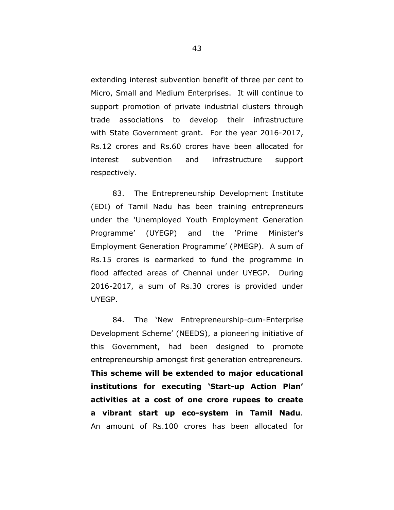extending interest subvention benefit of three per cent to Micro, Small and Medium Enterprises. It will continue to support promotion of private industrial clusters through trade associations to develop their infrastructure with State Government grant. For the year 2016-2017, Rs.12 crores and Rs.60 crores have been allocated for interest subvention and infrastructure support respectively.

83. The Entrepreneurship Development Institute (EDI) of Tamil Nadu has been training entrepreneurs under the 'Unemployed Youth Employment Generation Programme' (UYEGP) and the 'Prime Minister's Employment Generation Programme' (PMEGP). A sum of Rs.15 crores is earmarked to fund the programme in flood affected areas of Chennai under UYEGP. During 2016-2017, a sum of Rs.30 crores is provided under UYEGP.

84. The 'New Entrepreneurship-cum-Enterprise Development Scheme' (NEEDS), a pioneering initiative of this Government, had been designed to promote entrepreneurship amongst first generation entrepreneurs. **This scheme will be extended to major educational institutions for executing 'Start-up Action Plan' activities at a cost of one crore rupees to create a vibrant start up eco-system in Tamil Nadu**. An amount of Rs.100 crores has been allocated for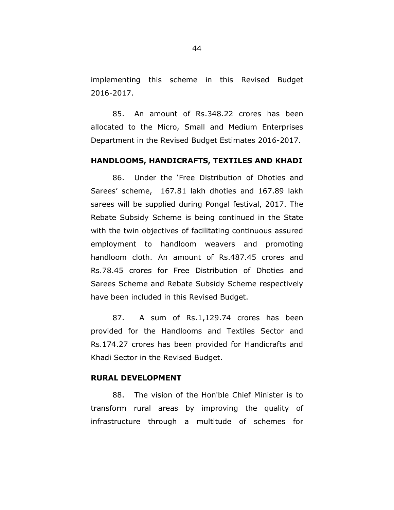implementing this scheme in this Revised Budget 2016-2017.

85. An amount of Rs.348.22 crores has been allocated to the Micro, Small and Medium Enterprises Department in the Revised Budget Estimates 2016-2017.

## **HANDLOOMS, HANDICRAFTS, TEXTILES AND KHADI**

86. Under the 'Free Distribution of Dhoties and Sarees' scheme, 167.81 lakh dhoties and 167.89 lakh sarees will be supplied during Pongal festival, 2017. The Rebate Subsidy Scheme is being continued in the State with the twin objectives of facilitating continuous assured employment to handloom weavers and promoting handloom cloth. An amount of Rs.487.45 crores and Rs.78.45 crores for Free Distribution of Dhoties and Sarees Scheme and Rebate Subsidy Scheme respectively have been included in this Revised Budget.

87. A sum of Rs.1,129.74 crores has been provided for the Handlooms and Textiles Sector and Rs.174.27 crores has been provided for Handicrafts and Khadi Sector in the Revised Budget.

#### **RURAL DEVELOPMENT**

88. The vision of the Hon'ble Chief Minister is to transform rural areas by improving the quality of infrastructure through a multitude of schemes for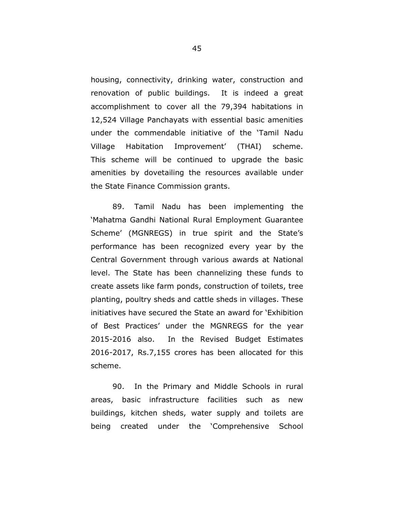housing, connectivity, drinking water, construction and renovation of public buildings. It is indeed a great accomplishment to cover all the 79,394 habitations in 12,524 Village Panchayats with essential basic amenities under the commendable initiative of the 'Tamil Nadu Village Habitation Improvement' (THAI) scheme. This scheme will be continued to upgrade the basic amenities by dovetailing the resources available under the State Finance Commission grants.

89. Tamil Nadu has been implementing the 'Mahatma Gandhi National Rural Employment Guarantee Scheme' (MGNREGS) in true spirit and the State's performance has been recognized every year by the Central Government through various awards at National level. The State has been channelizing these funds to create assets like farm ponds, construction of toilets, tree planting, poultry sheds and cattle sheds in villages. These initiatives have secured the State an award for 'Exhibition of Best Practices' under the MGNREGS for the year 2015-2016 also. In the Revised Budget Estimates 2016-2017, Rs.7,155 crores has been allocated for this scheme.

90. In the Primary and Middle Schools in rural areas, basic infrastructure facilities such as new buildings, kitchen sheds, water supply and toilets are being created under the 'Comprehensive School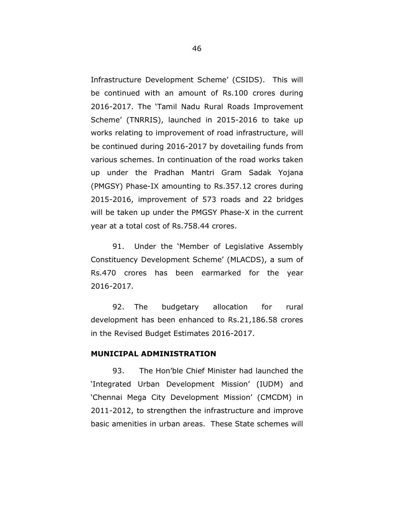Infrastructure Development Scheme' (CSIDS). This will be continued with an amount of Rs.100 crores during 2016-2017. The 'Tamil Nadu Rural Roads Improvement Scheme' (TNRRIS), launched in 2015-2016 to take up works relating to improvement of road infrastructure, will be continued during 2016-2017 by dovetailing funds from various schemes. In continuation of the road works taken up under the Pradhan Mantri Gram Sadak Yojana (PMGSY) Phase-IX amounting to Rs.357.12 crores during 2015-2016, improvement of 573 roads and 22 bridges will be taken up under the PMGSY Phase-X in the current year at a total cost of Rs.758.44 crores.

91. Under the 'Member of Legislative Assembly Constituency Development Scheme' (MLACDS), a sum of Rs.470 crores has been earmarked for the year 2016-2017.

92. The budgetary allocation for rural development has been enhanced to Rs.21,186.58 crores in the Revised Budget Estimates 2016-2017.

## **MUNICIPAL ADMINISTRATION**

93. The Hon'ble Chief Minister had launched the 'Integrated Urban Development Mission' (IUDM) and 'Chennai Mega City Development Mission' (CMCDM) in 2011-2012, to strengthen the infrastructure and improve basic amenities in urban areas. These State schemes will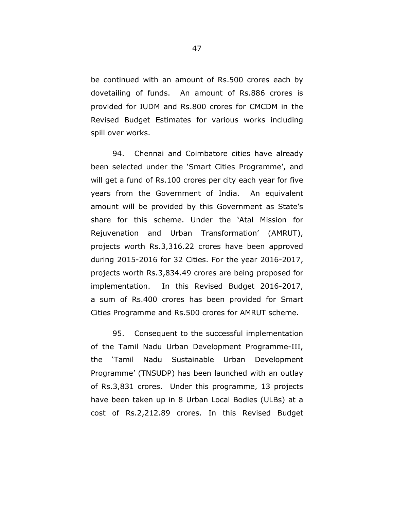be continued with an amount of Rs.500 crores each by dovetailing of funds. An amount of Rs.886 crores is provided for IUDM and Rs.800 crores for CMCDM in the Revised Budget Estimates for various works including spill over works.

94. Chennai and Coimbatore cities have already been selected under the 'Smart Cities Programme', and will get a fund of Rs.100 crores per city each year for five years from the Government of India. An equivalent amount will be provided by this Government as State's share for this scheme. Under the 'Atal Mission for Rejuvenation and Urban Transformation' (AMRUT), projects worth Rs.3,316.22 crores have been approved during 2015-2016 for 32 Cities. For the year 2016-2017, projects worth Rs.3,834.49 crores are being proposed for implementation. In this Revised Budget 2016-2017, a sum of Rs.400 crores has been provided for Smart Cities Programme and Rs.500 crores for AMRUT scheme.

95. Consequent to the successful implementation of the Tamil Nadu Urban Development Programme-III, the 'Tamil Nadu Sustainable Urban Development Programme' (TNSUDP) has been launched with an outlay of Rs.3,831 crores. Under this programme, 13 projects have been taken up in 8 Urban Local Bodies (ULBs) at a cost of Rs.2,212.89 crores. In this Revised Budget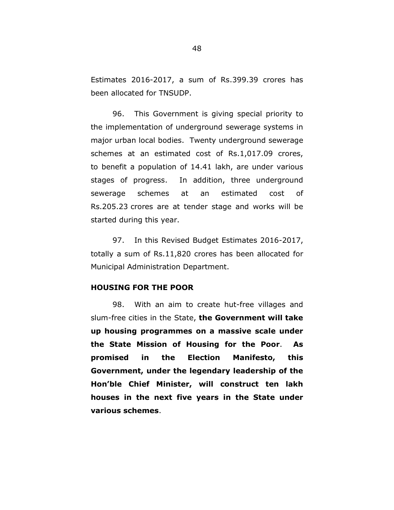Estimates 2016-2017, a sum of Rs.399.39 crores has been allocated for TNSUDP.

96. This Government is giving special priority to the implementation of underground sewerage systems in major urban local bodies. Twenty underground sewerage schemes at an estimated cost of Rs.1,017.09 crores, to benefit a population of 14.41 lakh, are under various stages of progress. In addition, three underground sewerage schemes at an estimated cost of Rs.205.23 crores are at tender stage and works will be started during this year.

97. In this Revised Budget Estimates 2016-2017, totally a sum of Rs.11,820 crores has been allocated for Municipal Administration Department.

#### **HOUSING FOR THE POOR**

98. With an aim to create hut-free villages and slum-free cities in the State, **the Government will take up housing programmes on a massive scale under the State Mission of Housing for the Poor**. **As promised in the Election Manifesto, this Government, under the legendary leadership of the Hon'ble Chief Minister, will construct ten lakh houses in the next five years in the State under various schemes**.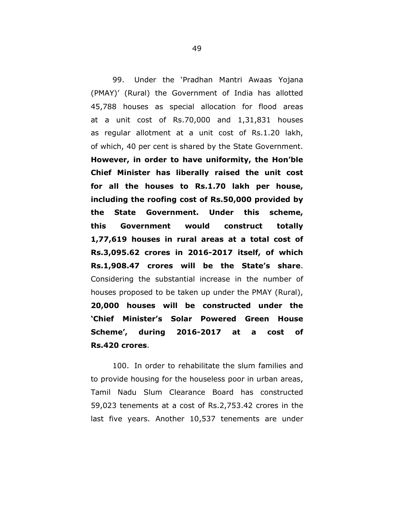99. Under the 'Pradhan Mantri Awaas Yojana (PMAY)' (Rural) the Government of India has allotted 45,788 houses as special allocation for flood areas at a unit cost of Rs.70,000 and 1,31,831 houses as regular allotment at a unit cost of Rs.1.20 lakh, of which, 40 per cent is shared by the State Government. **However, in order to have uniformity, the Hon'ble Chief Minister has liberally raised the unit cost for all the houses to Rs.1.70 lakh per house, including the roofing cost of Rs.50,000 provided by the State Government. Under this scheme, this Government would construct totally 1,77,619 houses in rural areas at a total cost of Rs.3,095.62 crores in 2016-2017 itself, of which Rs.1,908.47 crores will be the State's share**. Considering the substantial increase in the number of houses proposed to be taken up under the PMAY (Rural), **20,000 houses will be constructed under the 'Chief Minister's Solar Powered Green House Scheme', during 2016-2017 at a cost of Rs.420 crores**.

100. In order to rehabilitate the slum families and to provide housing for the houseless poor in urban areas, Tamil Nadu Slum Clearance Board has constructed 59,023 tenements at a cost of Rs.2,753.42 crores in the last five years. Another 10,537 tenements are under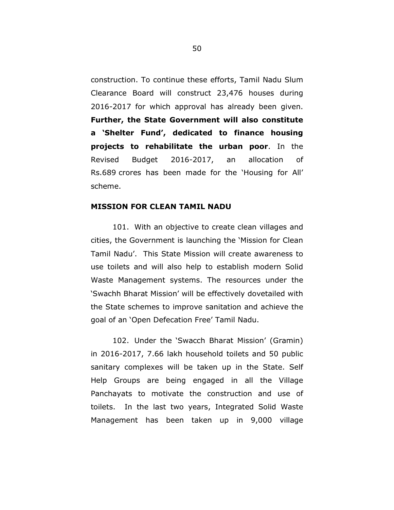construction. To continue these efforts, Tamil Nadu Slum Clearance Board will construct 23,476 houses during 2016-2017 for which approval has already been given. **Further, the State Government will also constitute a 'Shelter Fund', dedicated to finance housing projects to rehabilitate the urban poor**. In the Revised Budget 2016-2017, an allocation of Rs.689 crores has been made for the 'Housing for All' scheme.

## **MISSION FOR CLEAN TAMIL NADU**

101. With an objective to create clean villages and cities, the Government is launching the 'Mission for Clean Tamil Nadu'. This State Mission will create awareness to use toilets and will also help to establish modern Solid Waste Management systems. The resources under the 'Swachh Bharat Mission' will be effectively dovetailed with the State schemes to improve sanitation and achieve the goal of an 'Open Defecation Free' Tamil Nadu.

102. Under the 'Swacch Bharat Mission' (Gramin) in 2016-2017, 7.66 lakh household toilets and 50 public sanitary complexes will be taken up in the State. Self Help Groups are being engaged in all the Village Panchayats to motivate the construction and use of toilets. In the last two years, Integrated Solid Waste Management has been taken up in 9,000 village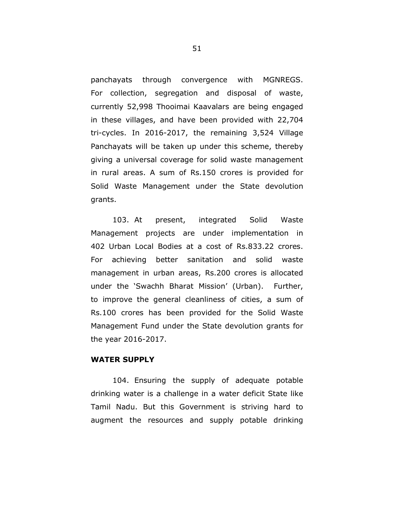panchayats through convergence with MGNREGS. For collection, segregation and disposal of waste, currently 52,998 Thooimai Kaavalars are being engaged in these villages, and have been provided with 22,704 tri-cycles. In 2016-2017, the remaining 3,524 Village Panchayats will be taken up under this scheme, thereby giving a universal coverage for solid waste management in rural areas. A sum of Rs.150 crores is provided for Solid Waste Management under the State devolution grants.

103. At present, integrated Solid Waste Management projects are under implementation in 402 Urban Local Bodies at a cost of Rs.833.22 crores. For achieving better sanitation and solid waste management in urban areas, Rs.200 crores is allocated under the 'Swachh Bharat Mission' (Urban). Further, to improve the general cleanliness of cities, a sum of Rs.100 crores has been provided for the Solid Waste Management Fund under the State devolution grants for the year 2016-2017.

## **WATER SUPPLY**

104. Ensuring the supply of adequate potable drinking water is a challenge in a water deficit State like Tamil Nadu. But this Government is striving hard to augment the resources and supply potable drinking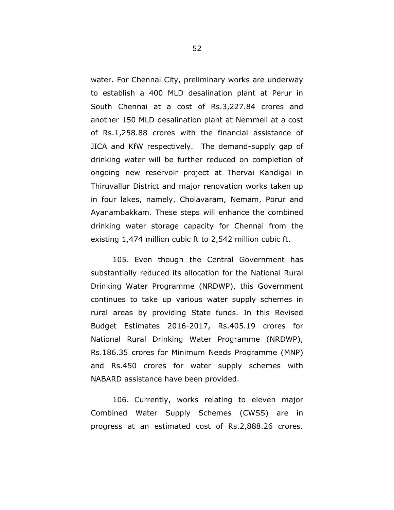water. For Chennai City, preliminary works are underway to establish a 400 MLD desalination plant at Perur in South Chennai at a cost of Rs.3,227.84 crores and another 150 MLD desalination plant at Nemmeli at a cost of Rs.1,258.88 crores with the financial assistance of JICA and KfW respectively. The demand-supply gap of drinking water will be further reduced on completion of ongoing new reservoir project at Thervai Kandigai in Thiruvallur District and major renovation works taken up in four lakes, namely, Cholavaram, Nemam, Porur and Ayanambakkam. These steps will enhance the combined drinking water storage capacity for Chennai from the existing 1,474 million cubic ft to 2,542 million cubic ft.

105. Even though the Central Government has substantially reduced its allocation for the National Rural Drinking Water Programme (NRDWP), this Government continues to take up various water supply schemes in rural areas by providing State funds. In this Revised Budget Estimates 2016-2017, Rs.405.19 crores for National Rural Drinking Water Programme (NRDWP), Rs.186.35 crores for Minimum Needs Programme (MNP) and Rs.450 crores for water supply schemes with NABARD assistance have been provided.

106. Currently, works relating to eleven major Combined Water Supply Schemes (CWSS) are in progress at an estimated cost of Rs.2,888.26 crores.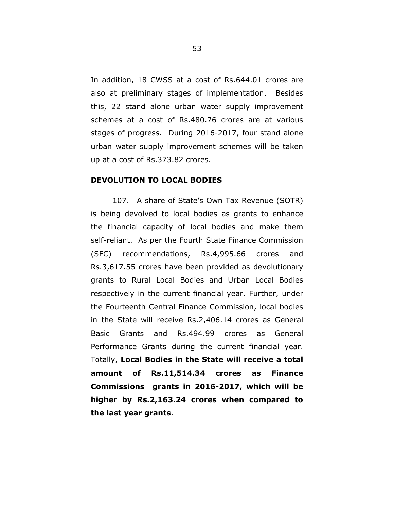In addition, 18 CWSS at a cost of Rs.644.01 crores are also at preliminary stages of implementation. Besides this, 22 stand alone urban water supply improvement schemes at a cost of Rs.480.76 crores are at various stages of progress. During 2016-2017, four stand alone urban water supply improvement schemes will be taken up at a cost of Rs.373.82 crores.

#### **DEVOLUTION TO LOCAL BODIES**

107. A share of State's Own Tax Revenue (SOTR) is being devolved to local bodies as grants to enhance the financial capacity of local bodies and make them self-reliant. As per the Fourth State Finance Commission (SFC) recommendations, Rs.4,995.66 crores and Rs.3,617.55 crores have been provided as devolutionary grants to Rural Local Bodies and Urban Local Bodies respectively in the current financial year. Further, under the Fourteenth Central Finance Commission, local bodies in the State will receive Rs.2,406.14 crores as General Basic Grants and Rs.494.99 crores as General Performance Grants during the current financial year. Totally, **Local Bodies in the State will receive a total amount of Rs.11,514.34 crores as Finance Commissions grants in 2016-2017, which will be higher by Rs.2,163.24 crores when compared to the last year grants**.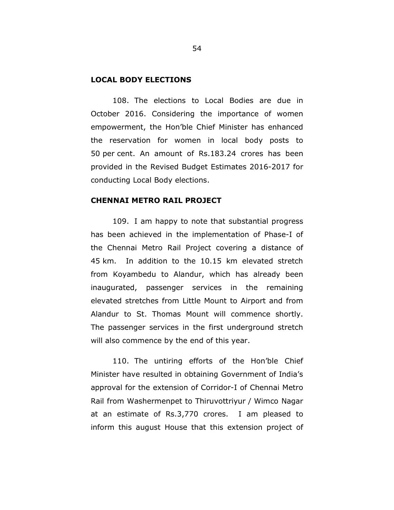#### **LOCAL BODY ELECTIONS**

108. The elections to Local Bodies are due in October 2016. Considering the importance of women empowerment, the Hon'ble Chief Minister has enhanced the reservation for women in local body posts to 50 per cent. An amount of Rs.183.24 crores has been provided in the Revised Budget Estimates 2016-2017 for conducting Local Body elections.

#### **CHENNAI METRO RAIL PROJECT**

109. I am happy to note that substantial progress has been achieved in the implementation of Phase-I of the Chennai Metro Rail Project covering a distance of 45 km. In addition to the 10.15 km elevated stretch from Koyambedu to Alandur, which has already been inaugurated, passenger services in the remaining elevated stretches from Little Mount to Airport and from Alandur to St. Thomas Mount will commence shortly. The passenger services in the first underground stretch will also commence by the end of this year.

110. The untiring efforts of the Hon'ble Chief Minister have resulted in obtaining Government of India's approval for the extension of Corridor-I of Chennai Metro Rail from Washermenpet to Thiruvottriyur / Wimco Nagar at an estimate of Rs.3,770 crores. I am pleased to inform this august House that this extension project of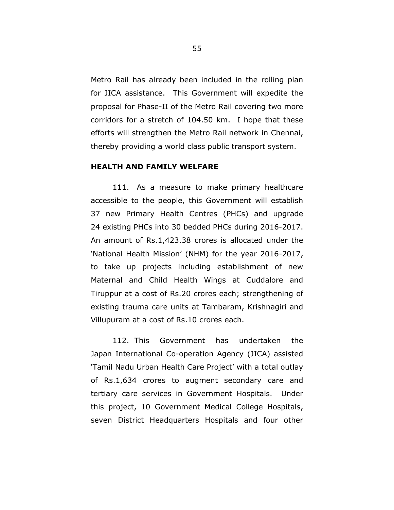Metro Rail has already been included in the rolling plan for JICA assistance. This Government will expedite the proposal for Phase-II of the Metro Rail covering two more corridors for a stretch of 104.50 km. I hope that these efforts will strengthen the Metro Rail network in Chennai, thereby providing a world class public transport system.

## **HEALTH AND FAMILY WELFARE**

111. As a measure to make primary healthcare accessible to the people, this Government will establish 37 new Primary Health Centres (PHCs) and upgrade 24 existing PHCs into 30 bedded PHCs during 2016-2017. An amount of Rs.1,423.38 crores is allocated under the 'National Health Mission' (NHM) for the year 2016-2017, to take up projects including establishment of new Maternal and Child Health Wings at Cuddalore and Tiruppur at a cost of Rs.20 crores each; strengthening of existing trauma care units at Tambaram, Krishnagiri and Villupuram at a cost of Rs.10 crores each.

112. This Government has undertaken the Japan International Co-operation Agency (JICA) assisted 'Tamil Nadu Urban Health Care Project' with a total outlay of Rs.1,634 crores to augment secondary care and tertiary care services in Government Hospitals. Under this project, 10 Government Medical College Hospitals, seven District Headquarters Hospitals and four other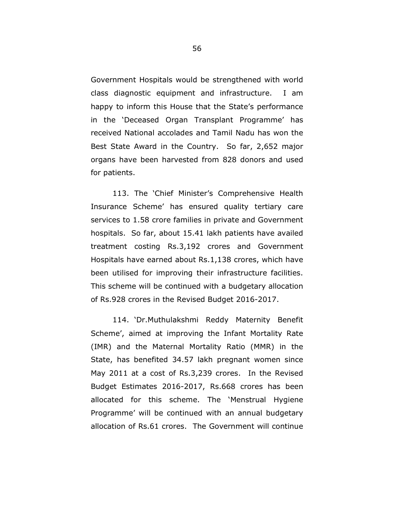Government Hospitals would be strengthened with world class diagnostic equipment and infrastructure. I am happy to inform this House that the State's performance in the 'Deceased Organ Transplant Programme' has received National accolades and Tamil Nadu has won the Best State Award in the Country. So far, 2,652 major organs have been harvested from 828 donors and used for patients.

113. The 'Chief Minister's Comprehensive Health Insurance Scheme' has ensured quality tertiary care services to 1.58 crore families in private and Government hospitals. So far, about 15.41 lakh patients have availed treatment costing Rs.3,192 crores and Government Hospitals have earned about Rs.1,138 crores, which have been utilised for improving their infrastructure facilities. This scheme will be continued with a budgetary allocation of Rs.928 crores in the Revised Budget 2016-2017.

114. 'Dr.Muthulakshmi Reddy Maternity Benefit Scheme', aimed at improving the Infant Mortality Rate (IMR) and the Maternal Mortality Ratio (MMR) in the State, has benefited 34.57 lakh pregnant women since May 2011 at a cost of Rs.3,239 crores. In the Revised Budget Estimates 2016-2017, Rs.668 crores has been allocated for this scheme. The 'Menstrual Hygiene Programme' will be continued with an annual budgetary allocation of Rs.61 crores. The Government will continue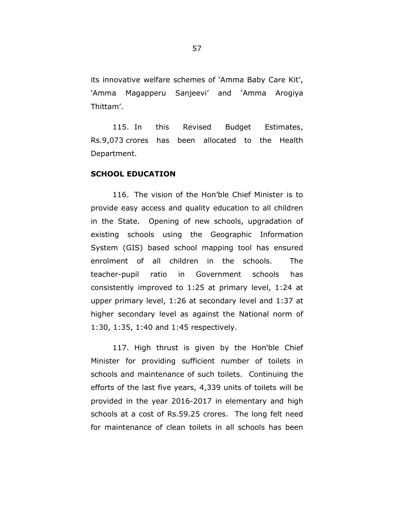its innovative welfare schemes of 'Amma Baby Care Kit', 'Amma Magapperu Sanjeevi' and 'Amma Arogiya Thittam'.

115. In this Revised Budget Estimates, Rs.9,073 crores has been allocated to the Health Department.

#### **SCHOOL EDUCATION**

116. The vision of the Hon'ble Chief Minister is to provide easy access and quality education to all children in the State. Opening of new schools, upgradation of existing schools using the Geographic Information System (GIS) based school mapping tool has ensured enrolment of all children in the schools. The teacher-pupil ratio in Government schools has consistently improved to 1:25 at primary level, 1:24 at upper primary level, 1:26 at secondary level and 1:37 at higher secondary level as against the National norm of 1:30, 1:35, 1:40 and 1:45 respectively.

117. High thrust is given by the Hon'ble Chief Minister for providing sufficient number of toilets in schools and maintenance of such toilets. Continuing the efforts of the last five years, 4,339 units of toilets will be provided in the year 2016-2017 in elementary and high schools at a cost of Rs.59.25 crores. The long felt need for maintenance of clean toilets in all schools has been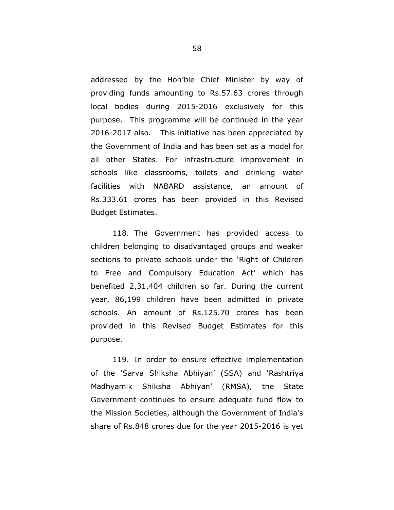addressed by the Hon'ble Chief Minister by way of providing funds amounting to Rs.57.63 crores through local bodies during 2015-2016 exclusively for this purpose. This programme will be continued in the year 2016-2017 also. This initiative has been appreciated by the Government of India and has been set as a model for all other States. For infrastructure improvement in schools like classrooms, toilets and drinking water facilities with NABARD assistance, an amount of Rs.333.61 crores has been provided in this Revised Budget Estimates.

118. The Government has provided access to children belonging to disadvantaged groups and weaker sections to private schools under the 'Right of Children to Free and Compulsory Education Act' which has benefited 2,31,404 children so far. During the current year, 86,199 children have been admitted in private schools. An amount of Rs.125.70 crores has been provided in this Revised Budget Estimates for this purpose.

119. In order to ensure effective implementation of the 'Sarva Shiksha Abhiyan' (SSA) and 'Rashtriya Madhyamik Shiksha Abhiyan' (RMSA), the State Government continues to ensure adequate fund flow to the Mission Societies, although the Government of India's share of Rs.848 crores due for the year 2015-2016 is yet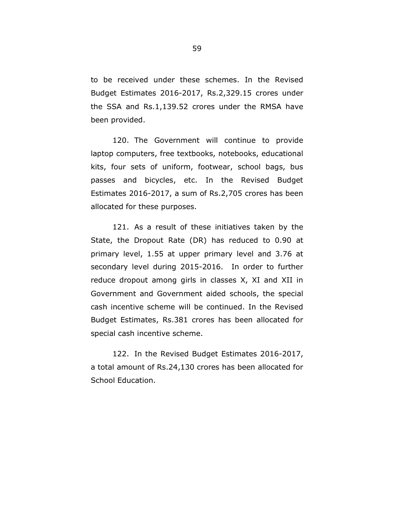to be received under these schemes. In the Revised Budget Estimates 2016-2017, Rs.2,329.15 crores under the SSA and Rs.1,139.52 crores under the RMSA have been provided.

120. The Government will continue to provide laptop computers, free textbooks, notebooks, educational kits, four sets of uniform, footwear, school bags, bus passes and bicycles, etc. In the Revised Budget Estimates 2016-2017, a sum of Rs.2,705 crores has been allocated for these purposes.

121. As a result of these initiatives taken by the State, the Dropout Rate (DR) has reduced to 0.90 at primary level, 1.55 at upper primary level and 3.76 at secondary level during 2015-2016. In order to further reduce dropout among girls in classes X, XI and XII in Government and Government aided schools, the special cash incentive scheme will be continued. In the Revised Budget Estimates, Rs.381 crores has been allocated for special cash incentive scheme.

122. In the Revised Budget Estimates 2016-2017, a total amount of Rs.24,130 crores has been allocated for School Education.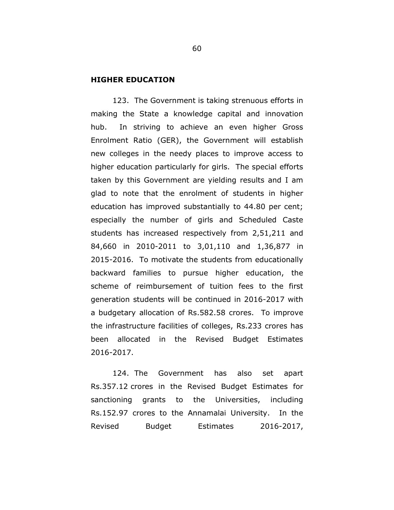#### **HIGHER EDUCATION**

123. The Government is taking strenuous efforts in making the State a knowledge capital and innovation hub. In striving to achieve an even higher Gross Enrolment Ratio (GER), the Government will establish new colleges in the needy places to improve access to higher education particularly for girls. The special efforts taken by this Government are yielding results and I am glad to note that the enrolment of students in higher education has improved substantially to 44.80 per cent; especially the number of girls and Scheduled Caste students has increased respectively from 2,51,211 and 84,660 in 2010-2011 to 3,01,110 and 1,36,877 in 2015-2016. To motivate the students from educationally backward families to pursue higher education, the scheme of reimbursement of tuition fees to the first generation students will be continued in 2016-2017 with a budgetary allocation of Rs.582.58 crores. To improve the infrastructure facilities of colleges, Rs.233 crores has been allocated in the Revised Budget Estimates 2016-2017.

124. The Government has also set apart Rs.357.12 crores in the Revised Budget Estimates for sanctioning grants to the Universities, including Rs.152.97 crores to the Annamalai University. In the Revised Budget Estimates 2016-2017,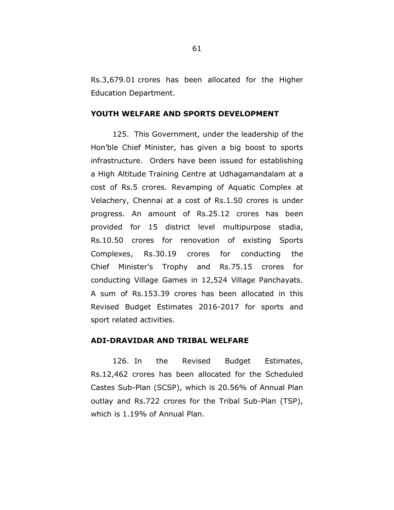Rs.3,679.01 crores has been allocated for the Higher Education Department.

## **YOUTH WELFARE AND SPORTS DEVELOPMENT**

125. This Government, under the leadership of the Hon'ble Chief Minister, has given a big boost to sports infrastructure. Orders have been issued for establishing a High Altitude Training Centre at Udhagamandalam at a cost of Rs.5 crores. Revamping of Aquatic Complex at Velachery, Chennai at a cost of Rs.1.50 crores is under progress. An amount of Rs.25.12 crores has been provided for 15 district level multipurpose stadia, Rs.10.50 crores for renovation of existing Sports Complexes, Rs.30.19 crores for conducting the Chief Minister's Trophy and Rs.75.15 crores for conducting Village Games in 12,524 Village Panchayats. A sum of Rs.153.39 crores has been allocated in this Revised Budget Estimates 2016-2017 for sports and sport related activities.

## **ADI-DRAVIDAR AND TRIBAL WELFARE**

126. In the Revised Budget Estimates, Rs.12,462 crores has been allocated for the Scheduled Castes Sub-Plan (SCSP), which is 20.56% of Annual Plan outlay and Rs.722 crores for the Tribal Sub-Plan (TSP), which is 1.19% of Annual Plan.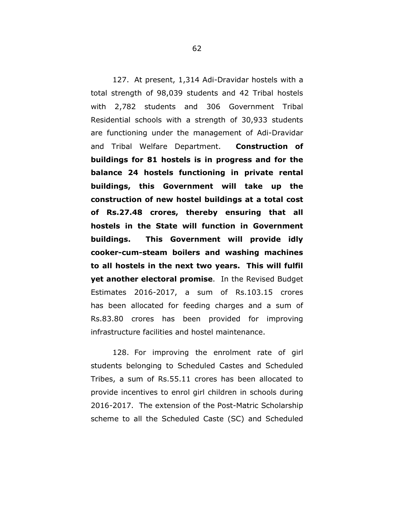127. At present, 1,314 Adi-Dravidar hostels with a total strength of 98,039 students and 42 Tribal hostels with 2,782 students and 306 Government Tribal Residential schools with a strength of 30,933 students are functioning under the management of Adi-Dravidar and Tribal Welfare Department. **Construction of buildings for 81 hostels is in progress and for the balance 24 hostels functioning in private rental buildings, this Government will take up the construction of new hostel buildings at a total cost of Rs.27.48 crores, thereby ensuring that all hostels in the State will function in Government buildings. This Government will provide idly cooker-cum-steam boilers and washing machines to all hostels in the next two years. This will fulfil yet another electoral promise**. In the Revised Budget Estimates 2016-2017, a sum of Rs.103.15 crores has been allocated for feeding charges and a sum of Rs.83.80 crores has been provided for improving infrastructure facilities and hostel maintenance.

128. For improving the enrolment rate of girl students belonging to Scheduled Castes and Scheduled Tribes, a sum of Rs.55.11 crores has been allocated to provide incentives to enrol girl children in schools during 2016-2017. The extension of the Post-Matric Scholarship scheme to all the Scheduled Caste (SC) and Scheduled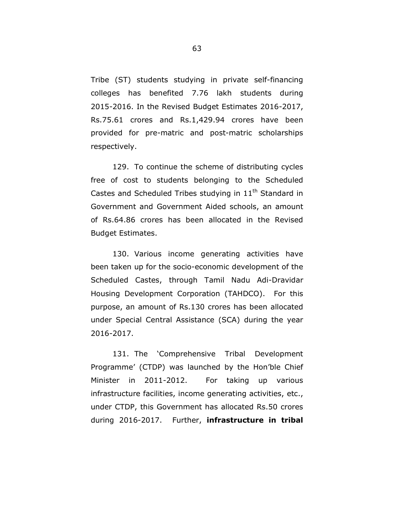Tribe (ST) students studying in private self-financing colleges has benefited 7.76 lakh students during 2015-2016. In the Revised Budget Estimates 2016-2017, Rs.75.61 crores and Rs.1,429.94 crores have been provided for pre-matric and post-matric scholarships respectively.

129. To continue the scheme of distributing cycles free of cost to students belonging to the Scheduled Castes and Scheduled Tribes studying in  $11<sup>th</sup>$  Standard in Government and Government Aided schools, an amount of Rs.64.86 crores has been allocated in the Revised Budget Estimates.

130. Various income generating activities have been taken up for the socio-economic development of the Scheduled Castes, through Tamil Nadu Adi-Dravidar Housing Development Corporation (TAHDCO). For this purpose, an amount of Rs.130 crores has been allocated under Special Central Assistance (SCA) during the year 2016-2017.

131. The 'Comprehensive Tribal Development Programme' (CTDP) was launched by the Hon'ble Chief Minister in 2011-2012. For taking up various infrastructure facilities, income generating activities, etc., under CTDP, this Government has allocated Rs.50 crores during 2016-2017. Further, **infrastructure in tribal**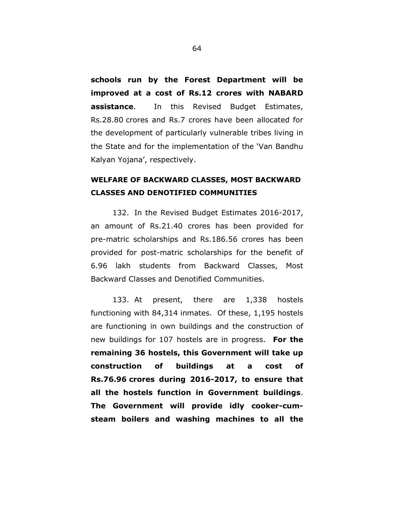**schools run by the Forest Department will be improved at a cost of Rs.12 crores with NABARD assistance**. In this Revised Budget Estimates, Rs.28.80 crores and Rs.7 crores have been allocated for the development of particularly vulnerable tribes living in the State and for the implementation of the 'Van Bandhu Kalyan Yojana', respectively.

## **WELFARE OF BACKWARD CLASSES, MOST BACKWARD CLASSES AND DENOTIFIED COMMUNITIES**

132. In the Revised Budget Estimates 2016-2017, an amount of Rs.21.40 crores has been provided for pre-matric scholarships and Rs.186.56 crores has been provided for post-matric scholarships for the benefit of 6.96 lakh students from Backward Classes, Most Backward Classes and Denotified Communities.

133. At present, there are 1,338 hostels functioning with 84,314 inmates. Of these, 1,195 hostels are functioning in own buildings and the construction of new buildings for 107 hostels are in progress. **For the remaining 36 hostels, this Government will take up construction of buildings at a cost of Rs.76.96 crores during 2016-2017, to ensure that all the hostels function in Government buildings**. **The Government will provide idly cooker-cumsteam boilers and washing machines to all the**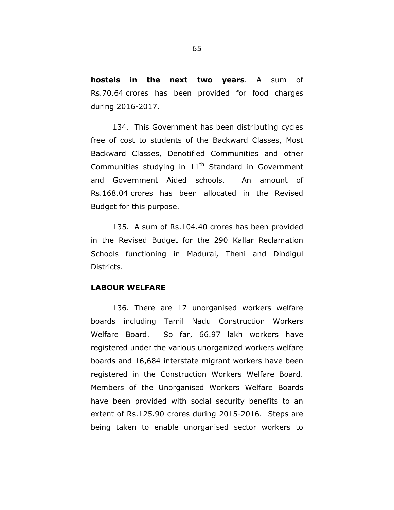**hostels in the next two years**. A sum of Rs.70.64 crores has been provided for food charges during 2016-2017.

134. This Government has been distributing cycles free of cost to students of the Backward Classes, Most Backward Classes, Denotified Communities and other Communities studying in  $11<sup>th</sup>$  Standard in Government and Government Aided schools. An amount of Rs.168.04 crores has been allocated in the Revised Budget for this purpose.

135. A sum of Rs.104.40 crores has been provided in the Revised Budget for the 290 Kallar Reclamation Schools functioning in Madurai, Theni and Dindigul Districts.

## **LABOUR WELFARE**

136. There are 17 unorganised workers welfare boards including Tamil Nadu Construction Workers Welfare Board. So far, 66.97 lakh workers have registered under the various unorganized workers welfare boards and 16,684 interstate migrant workers have been registered in the Construction Workers Welfare Board. Members of the Unorganised Workers Welfare Boards have been provided with social security benefits to an extent of Rs.125.90 crores during 2015-2016. Steps are being taken to enable unorganised sector workers to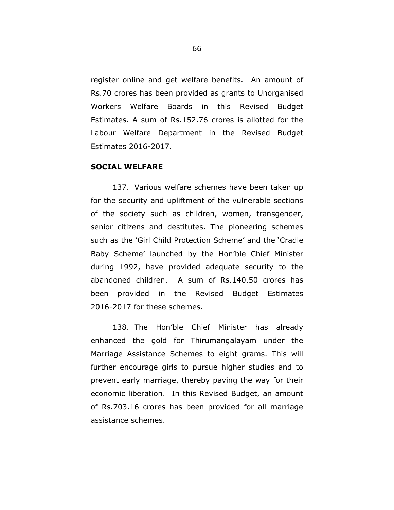register online and get welfare benefits. An amount of Rs.70 crores has been provided as grants to Unorganised Workers Welfare Boards in this Revised Budget Estimates. A sum of Rs.152.76 crores is allotted for the Labour Welfare Department in the Revised Budget Estimates 2016-2017.

## **SOCIAL WELFARE**

137. Various welfare schemes have been taken up for the security and upliftment of the vulnerable sections of the society such as children, women, transgender, senior citizens and destitutes. The pioneering schemes such as the 'Girl Child Protection Scheme' and the 'Cradle Baby Scheme' launched by the Hon'ble Chief Minister during 1992, have provided adequate security to the abandoned children. A sum of Rs.140.50 crores has been provided in the Revised Budget Estimates 2016-2017 for these schemes.

138. The Hon'ble Chief Minister has already enhanced the gold for Thirumangalayam under the Marriage Assistance Schemes to eight grams. This will further encourage girls to pursue higher studies and to prevent early marriage, thereby paving the way for their economic liberation. In this Revised Budget, an amount of Rs.703.16 crores has been provided for all marriage assistance schemes.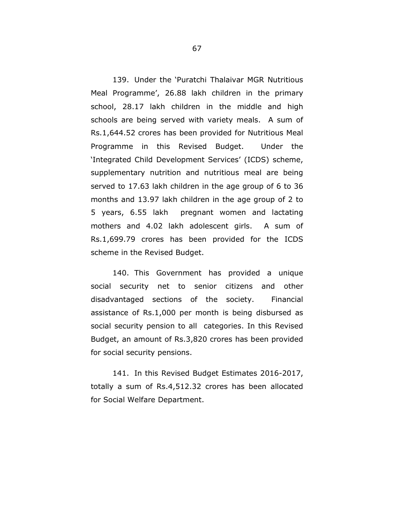139. Under the 'Puratchi Thalaivar MGR Nutritious Meal Programme', 26.88 lakh children in the primary school, 28.17 lakh children in the middle and high schools are being served with variety meals. A sum of Rs.1,644.52 crores has been provided for Nutritious Meal Programme in this Revised Budget. Under the 'Integrated Child Development Services' (ICDS) scheme, supplementary nutrition and nutritious meal are being served to 17.63 lakh children in the age group of 6 to 36 months and 13.97 lakh children in the age group of 2 to 5 years, 6.55 lakh pregnant women and lactating mothers and 4.02 lakh adolescent girls. A sum of Rs.1,699.79 crores has been provided for the ICDS scheme in the Revised Budget.

140. This Government has provided a unique social security net to senior citizens and other disadvantaged sections of the society. Financial assistance of Rs.1,000 per month is being disbursed as social security pension to all categories. In this Revised Budget, an amount of Rs.3,820 crores has been provided for social security pensions.

141. In this Revised Budget Estimates 2016-2017, totally a sum of Rs.4,512.32 crores has been allocated for Social Welfare Department.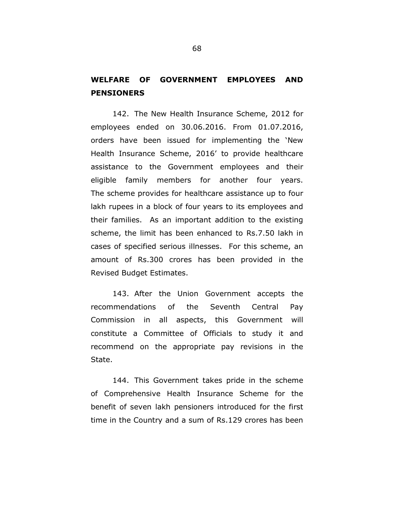## **WELFARE OF GOVERNMENT EMPLOYEES AND PENSIONERS**

142. The New Health Insurance Scheme, 2012 for employees ended on 30.06.2016. From 01.07.2016, orders have been issued for implementing the 'New Health Insurance Scheme, 2016' to provide healthcare assistance to the Government employees and their eligible family members for another four years. The scheme provides for healthcare assistance up to four lakh rupees in a block of four years to its employees and their families. As an important addition to the existing scheme, the limit has been enhanced to Rs.7.50 lakh in cases of specified serious illnesses. For this scheme, an amount of Rs.300 crores has been provided in the Revised Budget Estimates.

143. After the Union Government accepts the recommendations of the Seventh Central Pay Commission in all aspects, this Government will constitute a Committee of Officials to study it and recommend on the appropriate pay revisions in the State.

144. This Government takes pride in the scheme of Comprehensive Health Insurance Scheme for the benefit of seven lakh pensioners introduced for the first time in the Country and a sum of Rs.129 crores has been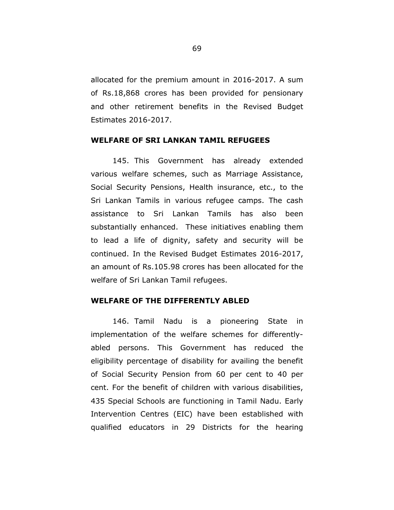allocated for the premium amount in 2016-2017. A sum of Rs.18,868 crores has been provided for pensionary and other retirement benefits in the Revised Budget Estimates 2016-2017.

## **WELFARE OF SRI LANKAN TAMIL REFUGEES**

145. This Government has already extended various welfare schemes, such as Marriage Assistance, Social Security Pensions, Health insurance, etc., to the Sri Lankan Tamils in various refugee camps. The cash assistance to Sri Lankan Tamils has also been substantially enhanced. These initiatives enabling them to lead a life of dignity, safety and security will be continued. In the Revised Budget Estimates 2016-2017, an amount of Rs.105.98 crores has been allocated for the welfare of Sri Lankan Tamil refugees.

#### **WELFARE OF THE DIFFERENTLY ABLED**

146. Tamil Nadu is a pioneering State in implementation of the welfare schemes for differentlyabled persons. This Government has reduced the eligibility percentage of disability for availing the benefit of Social Security Pension from 60 per cent to 40 per cent. For the benefit of children with various disabilities, 435 Special Schools are functioning in Tamil Nadu. Early Intervention Centres (EIC) have been established with qualified educators in 29 Districts for the hearing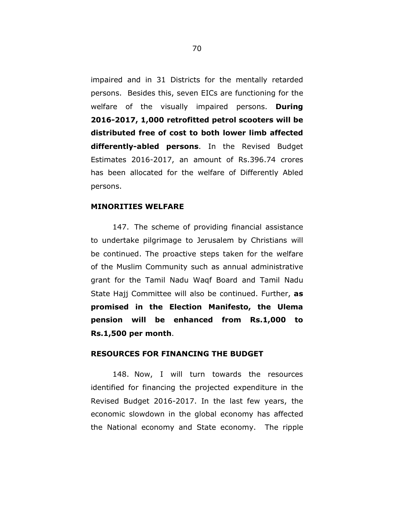impaired and in 31 Districts for the mentally retarded persons. Besides this, seven EICs are functioning for the welfare of the visually impaired persons. **During 2016-2017, 1,000 retrofitted petrol scooters will be distributed free of cost to both lower limb affected differently-abled persons**. In the Revised Budget Estimates 2016-2017, an amount of Rs.396.74 crores has been allocated for the welfare of Differently Abled persons.

## **MINORITIES WELFARE**

147. The scheme of providing financial assistance to undertake pilgrimage to Jerusalem by Christians will be continued. The proactive steps taken for the welfare of the Muslim Community such as annual administrative grant for the Tamil Nadu Waqf Board and Tamil Nadu State Hajj Committee will also be continued. Further, **as promised in the Election Manifesto, the Ulema pension will be enhanced from Rs.1,000 to Rs.1,500 per month**.

#### **RESOURCES FOR FINANCING THE BUDGET**

148. Now, I will turn towards the resources identified for financing the projected expenditure in the Revised Budget 2016-2017. In the last few years, the economic slowdown in the global economy has affected the National economy and State economy. The ripple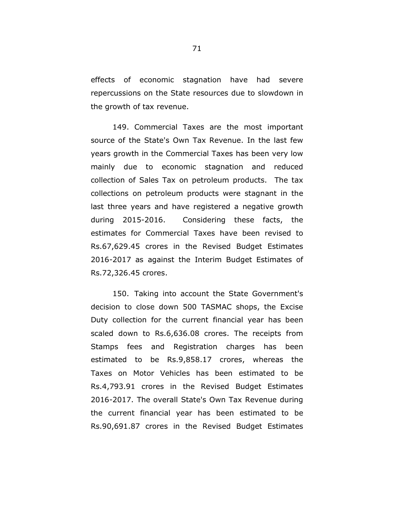effects of economic stagnation have had severe repercussions on the State resources due to slowdown in the growth of tax revenue.

149. Commercial Taxes are the most important source of the State's Own Tax Revenue. In the last few years growth in the Commercial Taxes has been very low mainly due to economic stagnation and reduced collection of Sales Tax on petroleum products. The tax collections on petroleum products were stagnant in the last three years and have registered a negative growth during 2015-2016. Considering these facts, the estimates for Commercial Taxes have been revised to Rs.67,629.45 crores in the Revised Budget Estimates 2016-2017 as against the Interim Budget Estimates of Rs.72,326.45 crores.

150. Taking into account the State Government's decision to close down 500 TASMAC shops, the Excise Duty collection for the current financial year has been scaled down to Rs.6,636.08 crores. The receipts from Stamps fees and Registration charges has been estimated to be Rs.9,858.17 crores, whereas the Taxes on Motor Vehicles has been estimated to be Rs.4,793.91 crores in the Revised Budget Estimates 2016-2017. The overall State's Own Tax Revenue during the current financial year has been estimated to be Rs.90,691.87 crores in the Revised Budget Estimates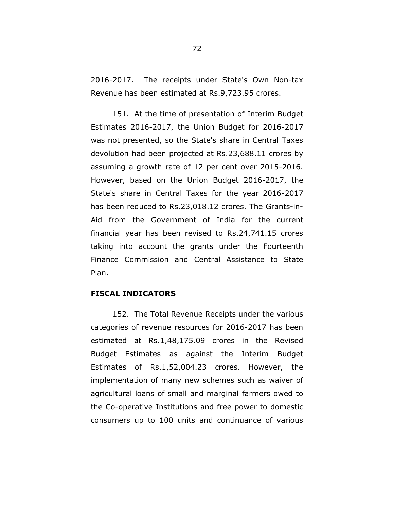2016-2017. The receipts under State's Own Non-tax Revenue has been estimated at Rs.9,723.95 crores.

151. At the time of presentation of Interim Budget Estimates 2016-2017, the Union Budget for 2016-2017 was not presented, so the State's share in Central Taxes devolution had been projected at Rs.23,688.11 crores by assuming a growth rate of 12 per cent over 2015-2016. However, based on the Union Budget 2016-2017, the State's share in Central Taxes for the year 2016-2017 has been reduced to Rs.23,018.12 crores. The Grants-in-Aid from the Government of India for the current financial year has been revised to Rs.24,741.15 crores taking into account the grants under the Fourteenth Finance Commission and Central Assistance to State Plan.

#### **FISCAL INDICATORS**

152. The Total Revenue Receipts under the various categories of revenue resources for 2016-2017 has been estimated at Rs.1,48,175.09 crores in the Revised Budget Estimates as against the Interim Budget Estimates of Rs.1,52,004.23 crores. However, the implementation of many new schemes such as waiver of agricultural loans of small and marginal farmers owed to the Co-operative Institutions and free power to domestic consumers up to 100 units and continuance of various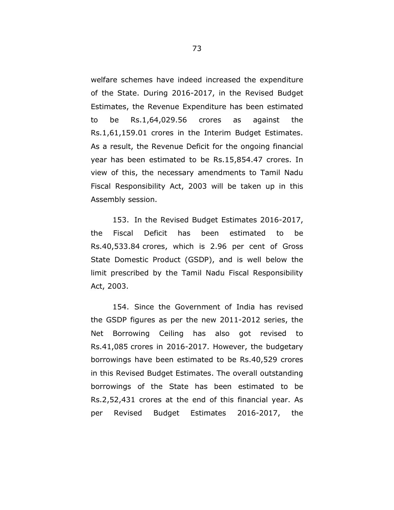welfare schemes have indeed increased the expenditure of the State. During 2016-2017, in the Revised Budget Estimates, the Revenue Expenditure has been estimated to be Rs.1,64,029.56 crores as against the Rs.1,61,159.01 crores in the Interim Budget Estimates. As a result, the Revenue Deficit for the ongoing financial year has been estimated to be Rs.15,854.47 crores. In view of this, the necessary amendments to Tamil Nadu Fiscal Responsibility Act, 2003 will be taken up in this Assembly session.

153. In the Revised Budget Estimates 2016-2017, the Fiscal Deficit has been estimated to be Rs.40,533.84 crores, which is 2.96 per cent of Gross State Domestic Product (GSDP), and is well below the limit prescribed by the Tamil Nadu Fiscal Responsibility Act, 2003.

154. Since the Government of India has revised the GSDP figures as per the new 2011-2012 series, the Net Borrowing Ceiling has also got revised to Rs.41,085 crores in 2016-2017. However, the budgetary borrowings have been estimated to be Rs.40,529 crores in this Revised Budget Estimates. The overall outstanding borrowings of the State has been estimated to be Rs.2,52,431 crores at the end of this financial year. As per Revised Budget Estimates 2016-2017, the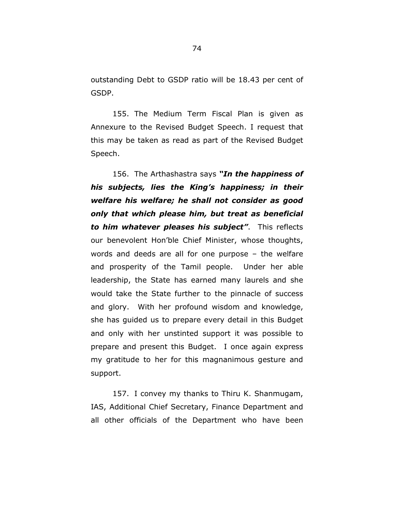outstanding Debt to GSDP ratio will be 18.43 per cent of GSDP.

155. The Medium Term Fiscal Plan is given as Annexure to the Revised Budget Speech. I request that this may be taken as read as part of the Revised Budget Speech.

156. The Arthashastra says *"In the happiness of his subjects, lies the King's happiness; in their welfare his welfare; he shall not consider as good only that which please him, but treat as beneficial to him whatever pleases his subject"*. This reflects our benevolent Hon'ble Chief Minister, whose thoughts, words and deeds are all for one purpose – the welfare and prosperity of the Tamil people. Under her able leadership, the State has earned many laurels and she would take the State further to the pinnacle of success and glory. With her profound wisdom and knowledge, she has guided us to prepare every detail in this Budget and only with her unstinted support it was possible to prepare and present this Budget. I once again express my gratitude to her for this magnanimous gesture and support.

157. I convey my thanks to Thiru K. Shanmugam, IAS, Additional Chief Secretary, Finance Department and all other officials of the Department who have been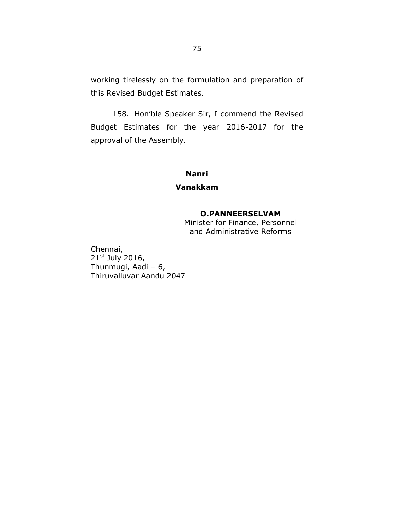working tirelessly on the formulation and preparation of this Revised Budget Estimates.

158. Hon'ble Speaker Sir, I commend the Revised Budget Estimates for the year 2016-2017 for the approval of the Assembly.

# **Nanri**

# **Vanakkam**

# **O.PANNEERSELVAM**

Minister for Finance, Personnel and Administrative Reforms

Chennai,  $21<sup>st</sup>$  July 2016, Thunmugi, Aadi –  $6$ , Thiruvalluvar Aandu 2047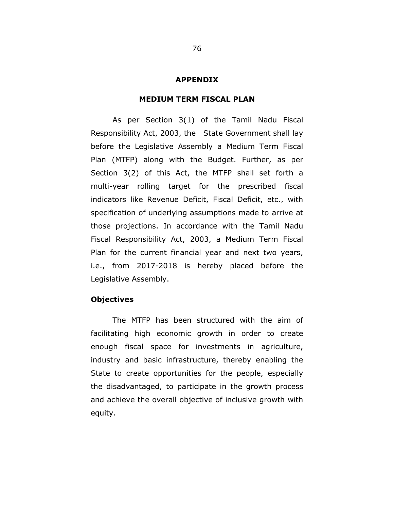#### **APPENDIX**

### **MEDIUM TERM FISCAL PLAN**

As per Section 3(1) of the Tamil Nadu Fiscal Responsibility Act, 2003, the State Government shall lay before the Legislative Assembly a Medium Term Fiscal Plan (MTFP) along with the Budget. Further, as per Section 3(2) of this Act, the MTFP shall set forth a multi-year rolling target for the prescribed fiscal indicators like Revenue Deficit, Fiscal Deficit, etc., with specification of underlying assumptions made to arrive at those projections. In accordance with the Tamil Nadu Fiscal Responsibility Act, 2003, a Medium Term Fiscal Plan for the current financial year and next two years, i.e., from 2017-2018 is hereby placed before the Legislative Assembly.

### **Objectives**

The MTFP has been structured with the aim of facilitating high economic growth in order to create enough fiscal space for investments in agriculture, industry and basic infrastructure, thereby enabling the State to create opportunities for the people, especially the disadvantaged, to participate in the growth process and achieve the overall objective of inclusive growth with equity.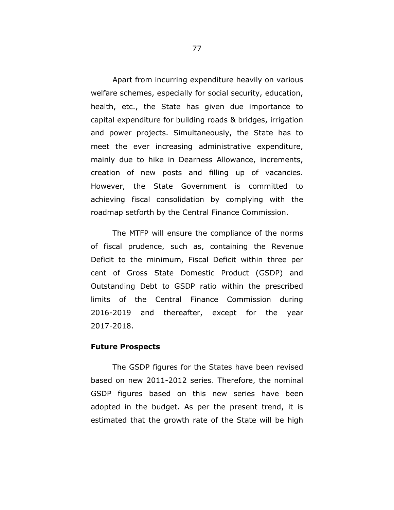Apart from incurring expenditure heavily on various welfare schemes, especially for social security, education, health, etc., the State has given due importance to capital expenditure for building roads & bridges, irrigation and power projects. Simultaneously, the State has to meet the ever increasing administrative expenditure, mainly due to hike in Dearness Allowance, increments, creation of new posts and filling up of vacancies. However, the State Government is committed to achieving fiscal consolidation by complying with the roadmap setforth by the Central Finance Commission.

The MTFP will ensure the compliance of the norms of fiscal prudence, such as, containing the Revenue Deficit to the minimum, Fiscal Deficit within three per cent of Gross State Domestic Product (GSDP) and Outstanding Debt to GSDP ratio within the prescribed limits of the Central Finance Commission during 2016-2019 and thereafter, except for the year 2017-2018.

### **Future Prospects**

The GSDP figures for the States have been revised based on new 2011-2012 series. Therefore, the nominal GSDP figures based on this new series have been adopted in the budget. As per the present trend, it is estimated that the growth rate of the State will be high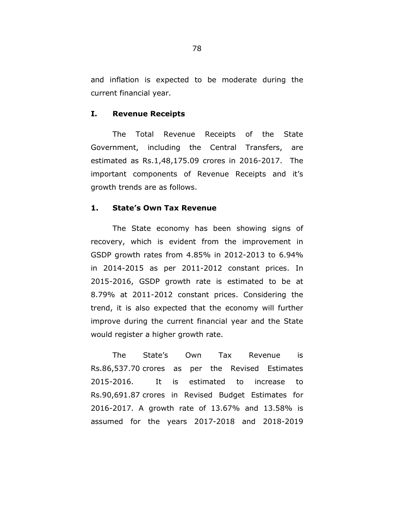and inflation is expected to be moderate during the current financial year.

### **I. Revenue Receipts**

The Total Revenue Receipts of the State Government, including the Central Transfers, are estimated as Rs.1,48,175.09 crores in 2016-2017. The important components of Revenue Receipts and it's growth trends are as follows.

### **1. State's Own Tax Revenue**

The State economy has been showing signs of recovery, which is evident from the improvement in GSDP growth rates from 4.85% in 2012-2013 to 6.94% in 2014-2015 as per 2011-2012 constant prices. In 2015-2016, GSDP growth rate is estimated to be at 8.79% at 2011-2012 constant prices. Considering the trend, it is also expected that the economy will further improve during the current financial year and the State would register a higher growth rate.

The State's Own Tax Revenue is Rs.86,537.70 crores as per the Revised Estimates 2015-2016. It is estimated to increase to Rs.90,691.87 crores in Revised Budget Estimates for 2016-2017. A growth rate of 13.67% and 13.58% is assumed for the years 2017-2018 and 2018-2019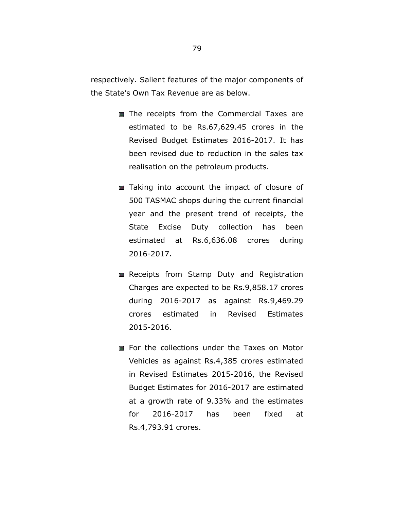respectively. Salient features of the major components of the State's Own Tax Revenue are as below.

- The receipts from the Commercial Taxes are estimated to be Rs.67,629.45 crores in the Revised Budget Estimates 2016-2017. It has been revised due to reduction in the sales tax realisation on the petroleum products.
- Taking into account the impact of closure of 500 TASMAC shops during the current financial year and the present trend of receipts, the State Excise Duty collection has been estimated at Rs.6,636.08 crores during 2016-2017.
- Receipts from Stamp Duty and Registration Charges are expected to be Rs.9,858.17 crores during 2016-2017 as against Rs.9,469.29 crores estimated in Revised Estimates 2015-2016.
- **EX For the collections under the Taxes on Motor** Vehicles as against Rs.4,385 crores estimated in Revised Estimates 2015-2016, the Revised Budget Estimates for 2016-2017 are estimated at a growth rate of 9.33% and the estimates for 2016-2017 has been fixed at Rs.4,793.91 crores.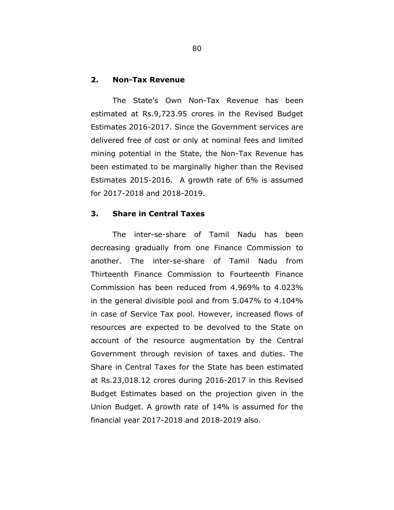#### **2. Non-Tax Revenue**

The State's Own Non-Tax Revenue has been estimated at Rs.9,723.95 crores in the Revised Budget Estimates 2016-2017. Since the Government services are delivered free of cost or only at nominal fees and limited mining potential in the State, the Non-Tax Revenue has been estimated to be marginally higher than the Revised Estimates 2015-2016. A growth rate of 6% is assumed for 2017-2018 and 2018-2019.

## **3. Share in Central Taxes**

The inter-se-share of Tamil Nadu has been decreasing gradually from one Finance Commission to another. The inter-se-share of Tamil Nadu from Thirteenth Finance Commission to Fourteenth Finance Commission has been reduced from 4.969% to 4.023% in the general divisible pool and from 5.047% to 4.104% in case of Service Tax pool. However, increased flows of resources are expected to be devolved to the State on account of the resource augmentation by the Central Government through revision of taxes and duties. The Share in Central Taxes for the State has been estimated at Rs.23,018.12 crores during 2016-2017 in this Revised Budget Estimates based on the projection given in the Union Budget. A growth rate of 14% is assumed for the financial year 2017-2018 and 2018-2019 also.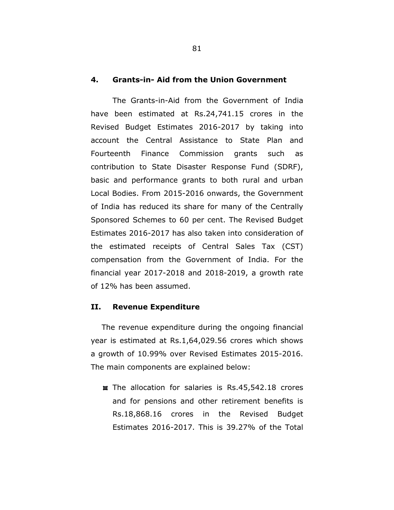#### **4. Grants-in- Aid from the Union Government**

The Grants-in-Aid from the Government of India have been estimated at Rs.24,741.15 crores in the Revised Budget Estimates 2016-2017 by taking into account the Central Assistance to State Plan and Fourteenth Finance Commission grants such as contribution to State Disaster Response Fund (SDRF), basic and performance grants to both rural and urban Local Bodies. From 2015-2016 onwards, the Government of India has reduced its share for many of the Centrally Sponsored Schemes to 60 per cent. The Revised Budget Estimates 2016-2017 has also taken into consideration of the estimated receipts of Central Sales Tax (CST) compensation from the Government of India. For the financial year 2017-2018 and 2018-2019, a growth rate of 12% has been assumed.

### **II. Revenue Expenditure**

The revenue expenditure during the ongoing financial year is estimated at Rs.1,64,029.56 crores which shows a growth of 10.99% over Revised Estimates 2015-2016. The main components are explained below:

 $\equiv$  The allocation for salaries is Rs.45,542.18 crores and for pensions and other retirement benefits is Rs.18,868.16 crores in the Revised Budget Estimates 2016-2017. This is 39.27% of the Total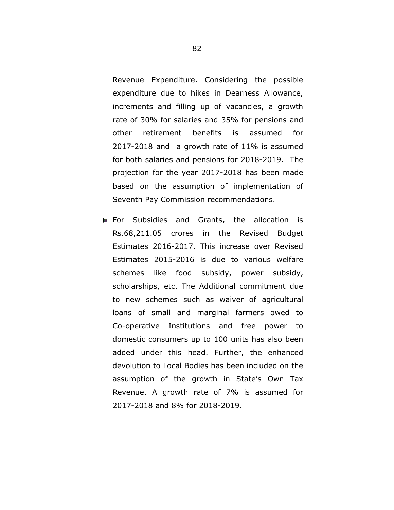Revenue Expenditure. Considering the possible expenditure due to hikes in Dearness Allowance, increments and filling up of vacancies, a growth rate of 30% for salaries and 35% for pensions and other retirement benefits is assumed for 2017-2018 and a growth rate of 11% is assumed for both salaries and pensions for 2018-2019. The projection for the year 2017-2018 has been made based on the assumption of implementation of Seventh Pay Commission recommendations.

For Subsidies and Grants, the allocation is Rs.68,211.05 crores in the Revised Budget Estimates 2016-2017. This increase over Revised Estimates 2015-2016 is due to various welfare schemes like food subsidy, power subsidy, scholarships, etc. The Additional commitment due to new schemes such as waiver of agricultural loans of small and marginal farmers owed to Co-operative Institutions and free power to domestic consumers up to 100 units has also been added under this head. Further, the enhanced devolution to Local Bodies has been included on the assumption of the growth in State's Own Tax Revenue. A growth rate of 7% is assumed for 2017-2018 and 8% for 2018-2019.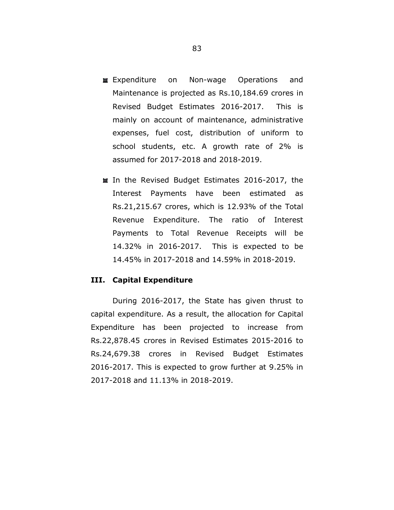- **Expenditure** on Non-wage Operations and Maintenance is projected as Rs.10,184.69 crores in Revised Budget Estimates 2016-2017. This is mainly on account of maintenance, administrative expenses, fuel cost, distribution of uniform to school students, etc. A growth rate of 2% is assumed for 2017-2018 and 2018-2019.
- In the Revised Budget Estimates 2016-2017, the Interest Payments have been estimated as Rs.21,215.67 crores, which is 12.93% of the Total Revenue Expenditure. The ratio of Interest Payments to Total Revenue Receipts will be 14.32% in 2016-2017. This is expected to be 14.45% in 2017-2018 and 14.59% in 2018-2019.

# **III. Capital Expenditure**

During 2016-2017, the State has given thrust to capital expenditure. As a result, the allocation for Capital Expenditure has been projected to increase from Rs.22,878.45 crores in Revised Estimates 2015-2016 to Rs.24,679.38 crores in Revised Budget Estimates 2016-2017. This is expected to grow further at 9.25% in 2017-2018 and 11.13% in 2018-2019.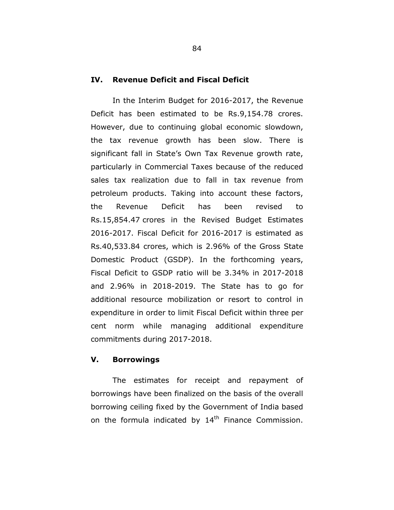#### **IV. Revenue Deficit and Fiscal Deficit**

In the Interim Budget for 2016-2017, the Revenue Deficit has been estimated to be Rs.9,154.78 crores. However, due to continuing global economic slowdown, the tax revenue growth has been slow. There is significant fall in State's Own Tax Revenue growth rate, particularly in Commercial Taxes because of the reduced sales tax realization due to fall in tax revenue from petroleum products. Taking into account these factors, the Revenue Deficit has been revised to Rs.15,854.47 crores in the Revised Budget Estimates 2016-2017. Fiscal Deficit for 2016-2017 is estimated as Rs.40,533.84 crores, which is 2.96% of the Gross State Domestic Product (GSDP). In the forthcoming years, Fiscal Deficit to GSDP ratio will be 3.34% in 2017-2018 and 2.96% in 2018-2019. The State has to go for additional resource mobilization or resort to control in expenditure in order to limit Fiscal Deficit within three per cent norm while managing additional expenditure commitments during 2017-2018.

# **V. Borrowings**

The estimates for receipt and repayment of borrowings have been finalized on the basis of the overall borrowing ceiling fixed by the Government of India based on the formula indicated by  $14<sup>th</sup>$  Finance Commission.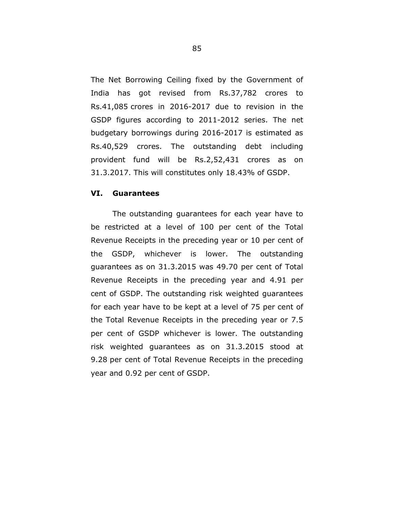The Net Borrowing Ceiling fixed by the Government of India has got revised from Rs.37,782 crores to Rs.41,085 crores in 2016-2017 due to revision in the GSDP figures according to 2011-2012 series. The net budgetary borrowings during 2016-2017 is estimated as Rs.40,529 crores. The outstanding debt including provident fund will be Rs.2,52,431 crores as on

31.3.2017. This will constitutes only 18.43% of GSDP.

#### **VI. Guarantees**

The outstanding guarantees for each year have to be restricted at a level of 100 per cent of the Total Revenue Receipts in the preceding year or 10 per cent of the GSDP, whichever is lower. The outstanding guarantees as on 31.3.2015 was 49.70 per cent of Total Revenue Receipts in the preceding year and 4.91 per cent of GSDP. The outstanding risk weighted guarantees for each year have to be kept at a level of 75 per cent of the Total Revenue Receipts in the preceding year or 7.5 per cent of GSDP whichever is lower. The outstanding risk weighted guarantees as on 31.3.2015 stood at 9.28 per cent of Total Revenue Receipts in the preceding year and 0.92 per cent of GSDP.